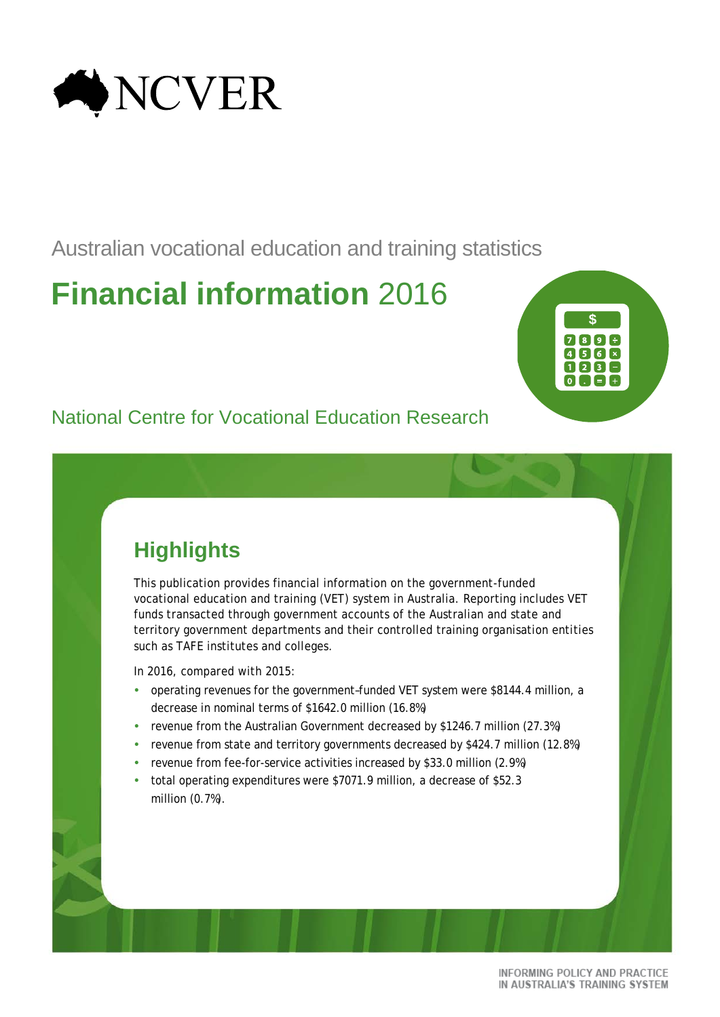

Australian vocational education and training statistics

# **Financial information** 2016



# National Centre for Vocational Education Research

# **Highlights**

This publication provides financial information on the government-funded vocational education and training (VET) system in Australia. Reporting includes VET funds transacted through government accounts of the Australian and state and territory government departments and their controlled training organisation entities such as TAFE institutes and colleges.

In 2016, compared with 2015:

- operating revenues for the government-funded VET system were \$8144.4 million, a decrease in nominal terms of \$1642.0 million (16.8%)
- revenue from the Australian Government decreased by \$1246.7 million (27.3%)
- revenue from state and territory governments decreased by \$424.7 million (12.8%)
- revenue from fee-for-service activities increased by \$33.0 million (2.9%)
- total operating expenditures were \$7071.9 million, a decrease of \$52.3 million (0.7%).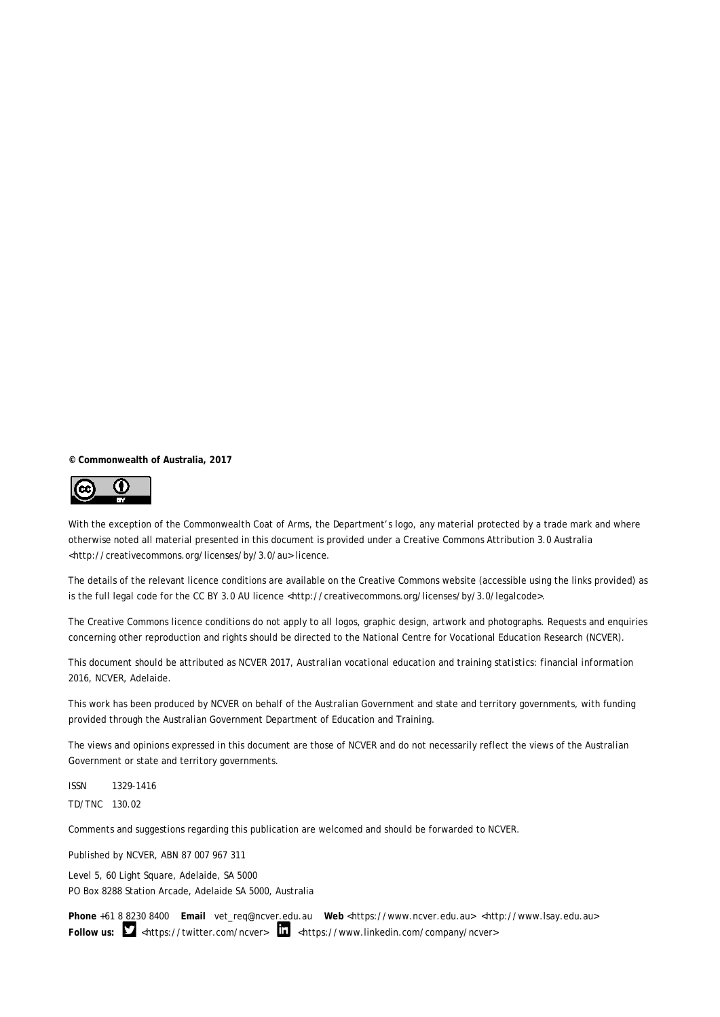**© Commonwealth of Australia, 2017**



With the exception of the Commonwealth Coat of Arms, the Department's logo, any material protected by a trade mark and where otherwise noted all material presented in this document is provided under a Creative Commons Attribution 3.0 Australia <http://creativecommons.org/licenses/by/3.0/au> licence.

The details of the relevant licence conditions are available on the Creative Commons website (accessible using the links provided) as is the full legal code for the CC BY 3.0 AU licence <http://creativecommons.org/licenses/by/3.0/legalcode>.

The Creative Commons licence conditions do not apply to all logos, graphic design, artwork and photographs. Requests and enquiries concerning other reproduction and rights should be directed to the National Centre for Vocational Education Research (NCVER).

This document should be attributed as NCVER 2017, *Australian vocational education and training statistics: financial information 2016*, NCVER, Adelaide.

This work has been produced by NCVER on behalf of the Australian Government and state and territory governments, with funding provided through the Australian Government Department of Education and Training.

The views and opinions expressed in this document are those of NCVER and do not necessarily reflect the views of the Australian Government or state and territory governments.

ISSN 1329-1416 TD/TNC 130.02

Comments and suggestions regarding this publication are welcomed and should be forwarded to NCVER.

Published by NCVER, ABN 87 007 967 311

Level 5, 60 Light Square, Adelaide, SA 5000 PO Box 8288 Station Arcade, Adelaide SA 5000, Australia

**Phone** +61 8 8230 8400 **Email** [vet\\_req@ncver.edu.au](mailto:vet_req@ncver.edu.au) **Web** <https://www.ncver.edu.au> [<http://www.lsay.edu.au>](http://www.lsay.edu.au/) Follow us: **M** <https://twitter.com/ncver>  $\frac{1}{2}$  <https://www.linkedin.com/company/ncver>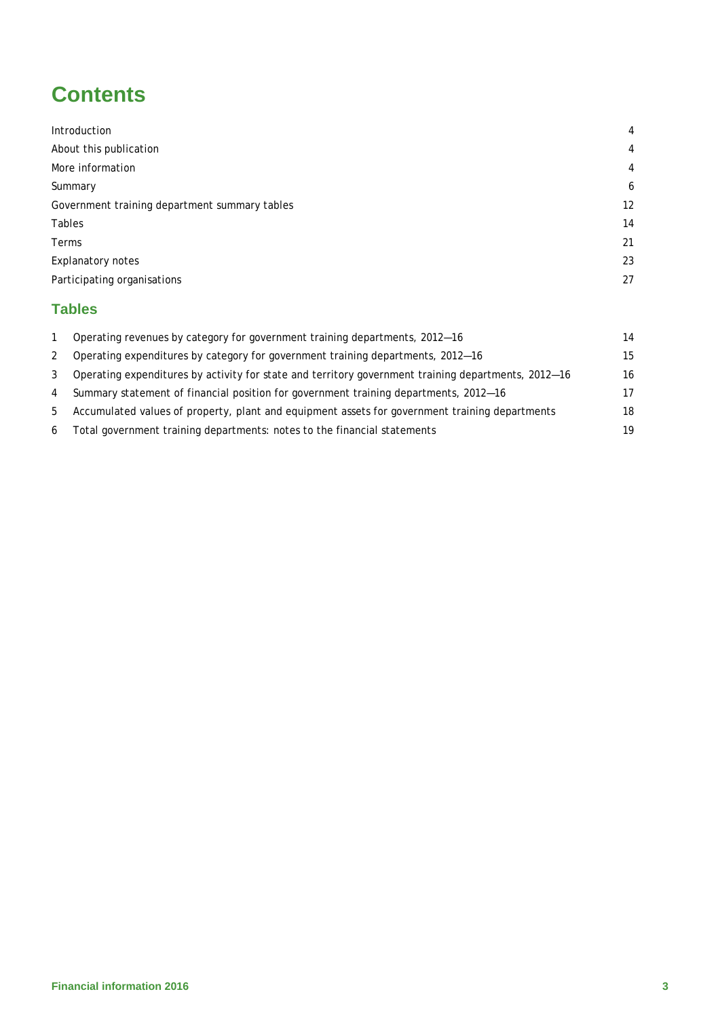# **Contents**

| Introduction                                  | $\overline{4}$ |
|-----------------------------------------------|----------------|
| About this publication                        | $\overline{4}$ |
| More information                              | $\overline{4}$ |
| Summary                                       | 6              |
| Government training department summary tables | 12             |
| Tables                                        | 14             |
| Terms                                         | 21             |
| Explanatory notes                             | 23             |
| Participating organisations                   | 27             |
|                                               |                |

# **Tables**

|   | Operating revenues by category for government training departments, 2012-16                         | 14 |
|---|-----------------------------------------------------------------------------------------------------|----|
| 2 | Operating expenditures by category for government training departments, 2012–16                     | 15 |
| 3 | Operating expenditures by activity for state and territory government training departments, 2012-16 | 16 |
| 4 | Summary statement of financial position for government training departments, 2012-16                | 17 |
| 5 | Accumulated values of property, plant and equipment assets for government training departments      | 18 |
| 6 | Total government training departments: notes to the financial statements                            | 19 |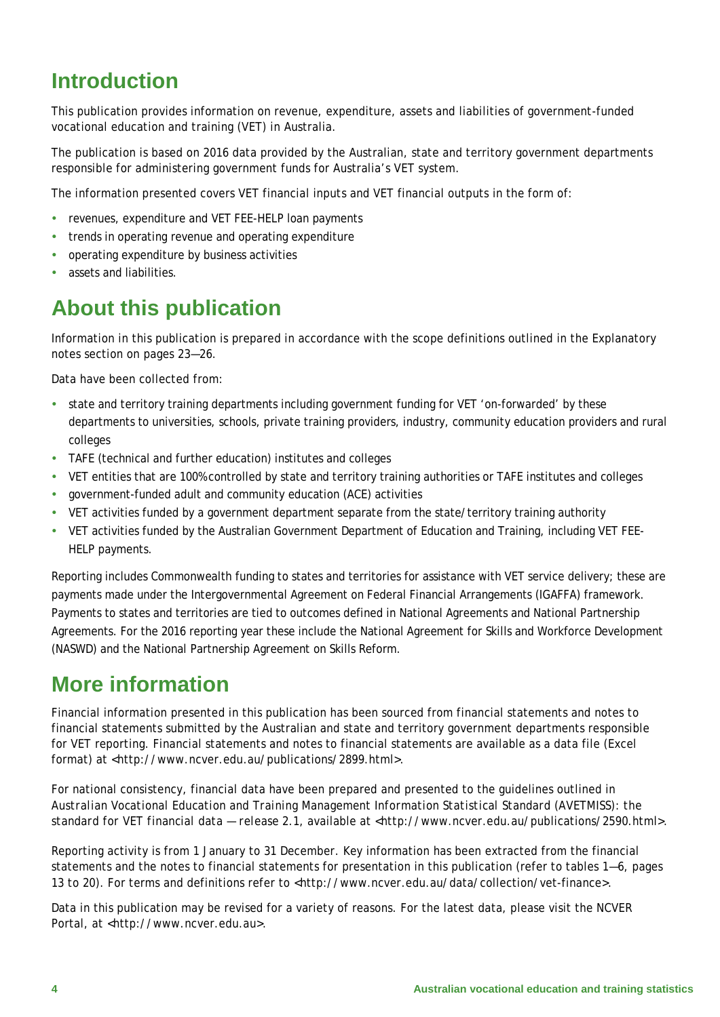# <span id="page-3-0"></span>**Introduction**

This publication provides information on revenue, expenditure, assets and liabilities of government-funded vocational education and training (VET) in Australia.

The publication is based on 2016 data provided by the Australian, state and territory government departments responsible for administering government funds for Australia's VET system.

The information presented covers VET financial inputs and VET financial outputs in the form of:

- revenues, expenditure and VET FEE-HELP loan payments
- trends in operating revenue and operating expenditure
- operating expenditure by business activities
- <span id="page-3-1"></span>assets and liabilities.

# **About this publication**

Information in this publication is prepared in accordance with the scope definitions outlined in the Explanatory notes section on pages 23—26.

Data have been collected from:

- state and territory training departments including government funding for VET 'on-forwarded' by these departments to universities, schools, private training providers, industry, community education providers and rural colleges
- TAFE (technical and further education) institutes and colleges
- VET entities that are 100% controlled by state and territory training authorities or TAFE institutes and colleges
- government-funded adult and community education (ACE) activities
- VET activities funded by a government department separate from the state/territory training authority
- VET activities funded by the Australian Government Department of Education and Training, including VET FEE-HELP payments.

Reporting includes Commonwealth funding to states and territories for assistance with VET service delivery; these are payments made under the Intergovernmental Agreement on Federal Financial Arrangements (IGAFFA) framework. Payments to states and territories are tied to outcomes defined in National Agreements and National Partnership Agreements. For the 2016 reporting year these include the National Agreement for Skills and Workforce Development (NASWD) and the National Partnership Agreement on Skills Reform.

# <span id="page-3-2"></span>**More information**

Financial information presented in this publication has been sourced from financial statements and notes to financial statements submitted by the Australian and state and territory government departments responsible for VET reporting. Financial statements and notes to financial statements are available as a data file (Excel format) at <http://www.ncver.edu.au/publications/2899.html>.

For national consistency, financial data have been prepared and presented to the guidelines outlined in *Australian Vocational Education and Training Management Information Statistical Standard (AVETMISS): the standard for VET financial data — release 2.1,* available at [<http://www.ncver.edu.au/publications/2590.html>](http://www.ncver.edu.au/publications/2590.html).

Reporting activity is from 1 January to 31 December. Key information has been extracted from the financial statements and the notes to financial statements for presentation in this publication (refer to tables 1—6, pages 13 to 20). For terms and definitions refer to <http://www.ncver.edu.au/data/collection/vet-finance>.

Data in this publication may be revised for a variety of reasons. For the latest data, please visit the NCVER Portal, at <http://www.ncver.edu.au>.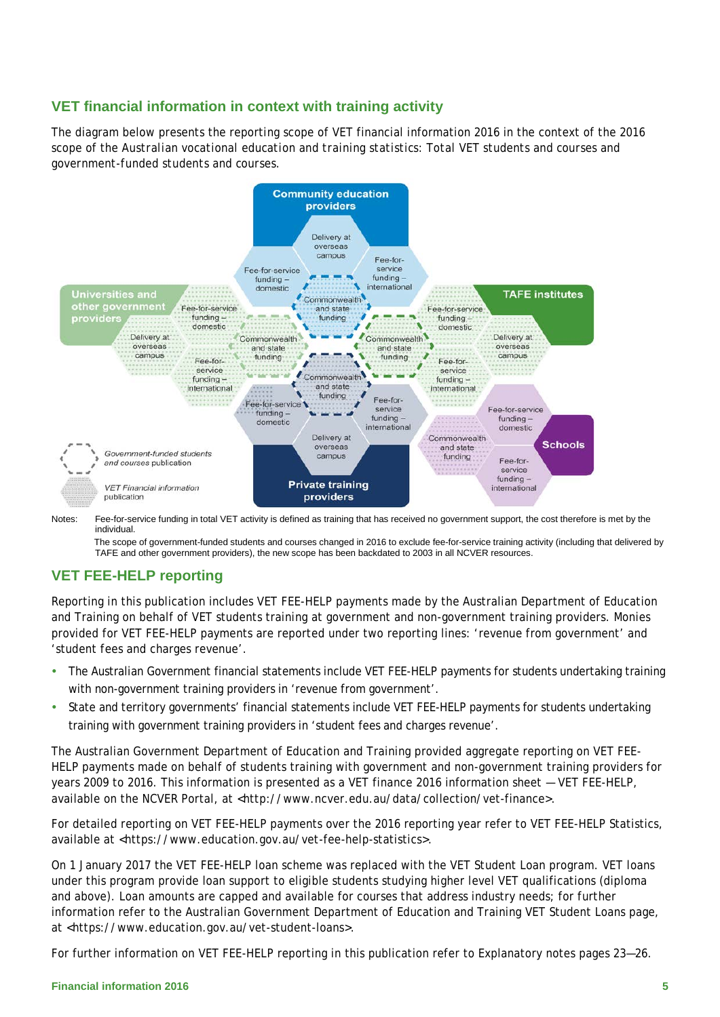# **VET financial information in context with training activity**

The diagram below presents the reporting scope of VET financial information 2016 in the context of the 2016 scope of the *Australian vocational education and training statistics: Total VET students and courses and government-funded students and courses*.



Notes: Fee-for-service funding in total VET activity is defined as training that has received no government support, the cost therefore is met by the individual.

The scope of government-funded students and courses changed in 2016 to exclude fee-for-service training activity (including that delivered by TAFE and other government providers), the new scope has been backdated to 2003 in all NCVER resources.

# **VET FEE-HELP reporting**

Reporting in this publication includes VET FEE-HELP payments made by the Australian Department of Education and Training on behalf of VET students training at government and non-government training providers. Monies provided for VET FEE-HELP payments are reported under two reporting lines: 'revenue from government' and 'student fees and charges revenue'.

- The Australian Government financial statements include VET FEE-HELP payments for students undertaking training with non-government training providers in 'revenue from government'.
- State and territory governments' financial statements include VET FEE-HELP payments for students undertaking training with government training providers in 'student fees and charges revenue'.

The Australian Government Department of Education and Training provided aggregate reporting on VET FEE-HELP payments made on behalf of students training with government and non-government training providers for years 2009 to 2016. This information is presented as a VET finance 2016 information sheet — VET FEE-HELP, available on the NCVER Portal, at <http://www.ncver.edu.au/data/collection/vet-finance>.

For detailed reporting on VET FEE-HELP payments over the 2016 reporting year refer to VET FEE-HELP Statistics, available at <https://www.education.gov.au/vet-fee-help-statistics>.

On 1 January 2017 the VET FEE-HELP loan scheme was replaced with the VET Student Loan program. VET loans under this program provide loan support to eligible students studying higher level VET qualifications (diploma and above). Loan amounts are capped and available for courses that address industry needs; for further information refer to the Australian Government Department of Education and Training VET Student Loans page, at <https://www.education.gov.au/vet-student-loans>.

<span id="page-4-0"></span>For further information on VET FEE-HELP reporting in this publication refer to Explanatory notes pages 23—26.

#### **Financial information 2016 5**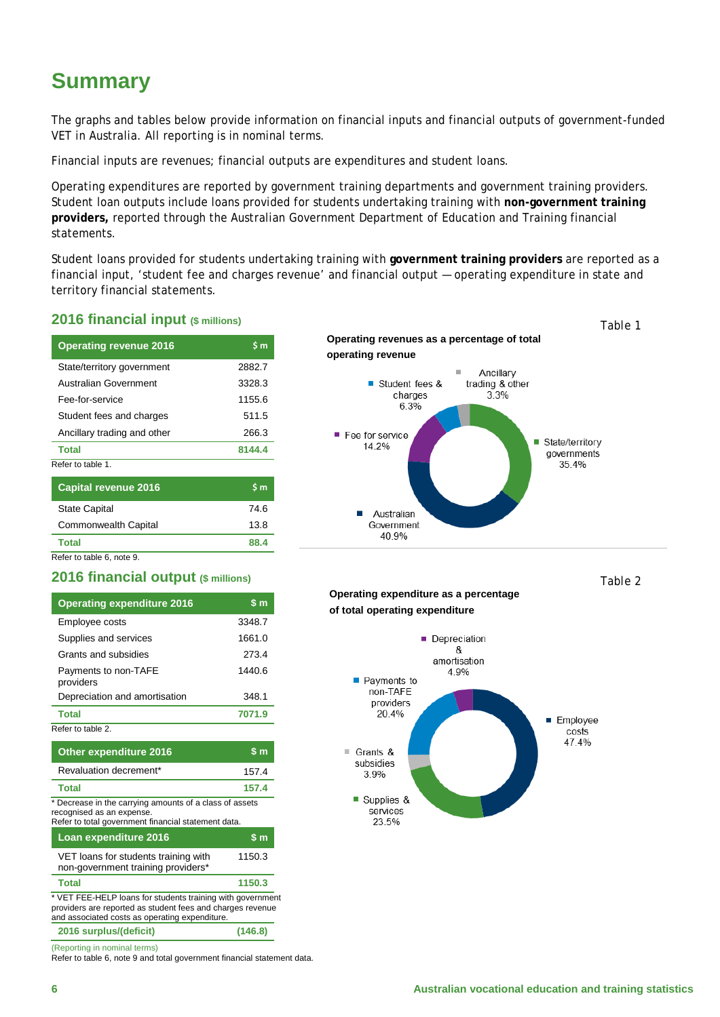# **Summary**

The graphs and tables below provide information on financial inputs and financial outputs of government-funded VET in Australia. All reporting is in nominal terms.

Financial inputs are revenues; financial outputs are expenditures and student loans.

Operating expenditures are reported by government training departments and government training providers. Student loan outputs include loans provided for students undertaking training with **non-government training providers,** reported through the Australian Government Department of Education and Training financial statements.

Student loans provided for students undertaking training with **government training providers** are reported as a financial input, 'student fee and charges revenue' and financial output — operating expenditure in state and territory financial statements.

### **2016 financial input (\$ millions)**

| <b>Operating revenue 2016</b> | \$m    |
|-------------------------------|--------|
| State/territory government    | 2882.7 |
| <b>Australian Government</b>  | 3328.3 |
| Fee-for-service               | 1155.6 |
| Student fees and charges      | 511.5  |
| Ancillary trading and other   | 266.3  |
| <b>Total</b>                  | 8144.4 |
| Refer to table 1              |        |
| <b>Capital revenue 2016</b>   | S m    |
| <b>State Capital</b>          | 74.6   |
| Commonwealth Capital          | 13.8   |

**Total 88.4** Refer to table 6, note 9.

### **2016 financial output (\$ millions)**

| <b>Operating expenditure 2016</b> | \$m    |
|-----------------------------------|--------|
| Employee costs                    | 3348.7 |
| Supplies and services             | 1661.0 |
| Grants and subsidies              | 273.4  |
| Payments to non-TAFE<br>providers | 1440.6 |
| Depreciation and amortisation     | 348.1  |
| <b>Total</b>                      | 7071.9 |
| Refer to table 2.                 |        |

| Other expenditure 2016                                                                                                                                                     | $\mathsf{S}$ m |
|----------------------------------------------------------------------------------------------------------------------------------------------------------------------------|----------------|
| Revaluation decrement*                                                                                                                                                     | 157.4          |
| <b>Total</b>                                                                                                                                                               | 157.4          |
| * Decrease in the carrying amounts of a class of assets<br>recognised as an expense.<br>Refer to total government financial statement data.                                |                |
| Loan expenditure 2016                                                                                                                                                      | $\sin$         |
| VET loans for students training with<br>non-government training providers*                                                                                                 | 1150.3         |
| <b>Total</b>                                                                                                                                                               | 1150.3         |
| * VET FEE-HELP loans for students training with government<br>providers are reported as student fees and charges revenue<br>and associated costs as operating expenditure. |                |
| 2016 surplus/(deficit)                                                                                                                                                     | (146.8)        |

(Reporting in nominal terms)

Refer to table 6, note 9 and total government financial statement data.

**Operating revenues as a percentage of total operating revenue**



*Table 2* 

*Table 1*

#### **Operating expenditure as a percentage of total operating expenditure**

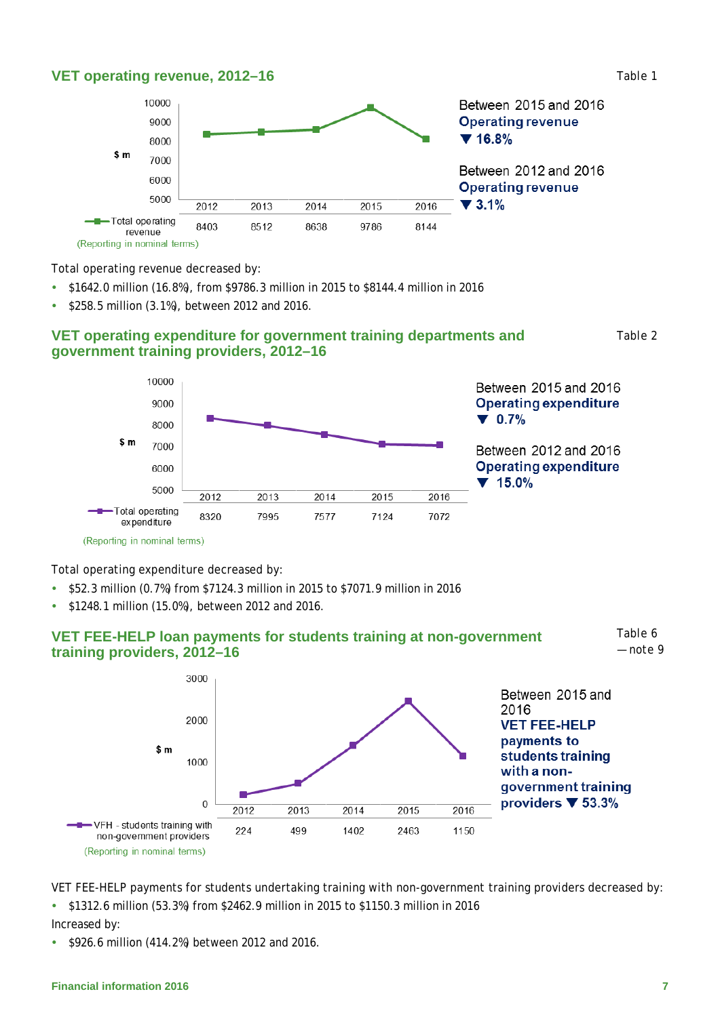### **VET operating revenue, 2012–16**



Total operating revenue decreased by:

- \$1642.0 million (16.8%), from \$9786.3 million in 2015 to \$8144.4 million in 2016
- \$258.5 million (3.1%), between 2012 and 2016.

### **VET operating expenditure for government training departments and government training providers, 2012–16**

*Table 2*

*Table 1*



Total operating expenditure decreased by:

- \$52.3 million (0.7%) from \$7124.3 million in 2015 to \$7071.9 million in 2016
- \$1248.1 million (15.0%), between 2012 and 2016.





VET FEE-HELP payments for students undertaking training with non-government training providers decreased by: \$1312.6 million (53.3%) from \$2462.9 million in 2015 to \$1150.3 million in 2016

#### Increased by:

\$926.6 million (414.2%) between 2012 and 2016.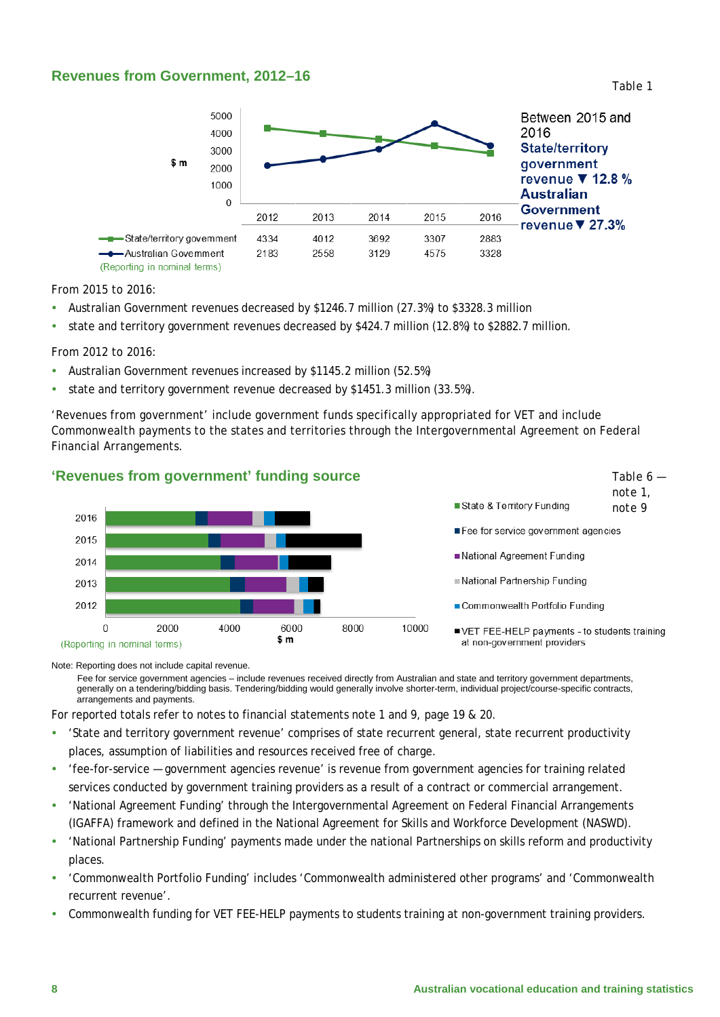### **Revenues from Government, 2012–16**



From 2015 to 2016:

- Australian Government revenues decreased by \$1246.7 million (27.3%) to \$3328.3 million
- state and territory government revenues decreased by \$424.7 million (12.8%) to \$2882.7 million.

From 2012 to 2016:

- Australian Government revenues increased by \$1145.2 million (52.5%)
- state and territory government revenue decreased by \$1451.3 million (33.5%).

'Revenues from government' include government funds specifically appropriated for VET and include Commonwealth payments to the states and territories through the Intergovernmental Agreement on Federal Financial Arrangements.

#### **'Revenues from government' funding source**



# *note 1,*  State & Territory Funding *note 9*Fee for service government agencies National Agreement Funding National Partnership Funding Commonwealth Portfolio Funding ■ VET FEE-HELP payments - to students training at non-government providers

Note: Reporting does not include capital revenue.

Fee for service government agencies – include revenues received directly from Australian and state and territory government departments, generally on a tendering/bidding basis. Tendering/bidding would generally involve shorter-term, individual project/course-specific contracts, arrangements and payments.

For reported totals refer to notes to financial statements note 1 and 9, page 19 & 20.

- 'State and territory government revenue' comprises of state recurrent general, state recurrent productivity places, assumption of liabilities and resources received free of charge.
- 'fee-for-service government agencies revenue' is revenue from government agencies for training related services conducted by government training providers as a result of a contract or commercial arrangement.
- 'National Agreement Funding' through the Intergovernmental Agreement on Federal Financial Arrangements (IGAFFA) framework and defined in the National Agreement for Skills and Workforce Development (NASWD).
- 'National Partnership Funding' payments made under the national Partnerships on skills reform and productivity places.
- 'Commonwealth Portfolio Funding' includes 'Commonwealth administered other programs' and 'Commonwealth recurrent revenue'.
- Commonwealth funding for VET FEE-HELP payments to students training at non-government training providers.

*Table 6 —*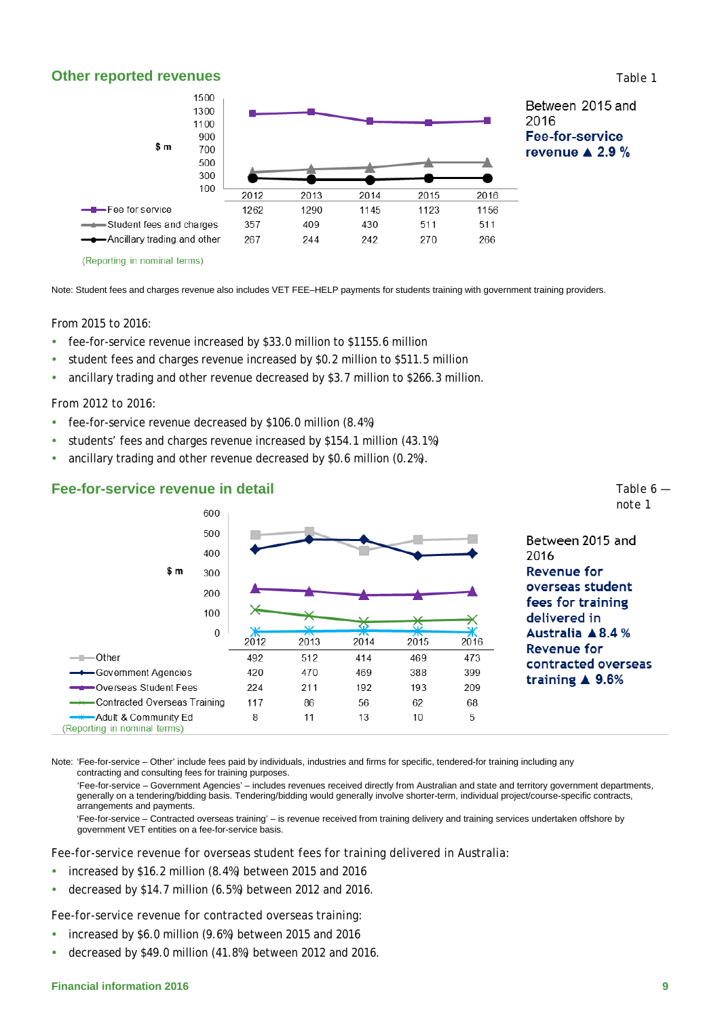#### **Other reported revenues**



Note: Student fees and charges revenue also includes VET FEE–HELP payments for students training with government training providers.

#### From 2015 to 2016:

- fee-for-service revenue increased by \$33.0 million to \$1155.6 million
- student fees and charges revenue increased by \$0.2 million to \$511.5 million
- ancillary trading and other revenue decreased by \$3.7 million to \$266.3 million.

#### From 2012 to 2016:

 $-$ -Other

-Govemment Agencies

Overseas Student Fees

Adult & Community Ed

(Reporting in nominal terms)

-Contracted Overseas Training

- fee-for-service revenue decreased by \$106.0 million (8.4%)
- students' fees and charges revenue increased by \$154.1 million (43.1%)
- ancillary trading and other revenue decreased by \$0.6 million (0.2%).

492

420

224

117

8

#### 600 500 Between 2015 and 400 2016  $$m$ **Revenue for** 300 overseas student 200 fees for training 100 delivered in  $\Omega$ Australia ▲8.4 %  $2012$ 2013 2014 2015 2016 Revenue for

512

470

 $211$ 

86

 $11$ 

#### **Fee-for-service revenue in detail**

Note: 'Fee-for-service – Other' include fees paid by individuals, industries and firms for specific, tendered-for training including any contracting and consulting fees for training purposes.

'Fee-for-service – Government Agencies' – includes revenues received directly from Australian and state and territory government departments, generally on a tendering/bidding basis. Tendering/bidding would generally involve shorter-term, individual project/course-specific contracts, arrangements and payments.

414

469

192

56

 $13$ 

469

388

193

62

 $10$ 

473

399

209

68

5

'Fee-for-service – Contracted overseas training' – is revenue received from training delivery and training services undertaken offshore by government VET entities on a fee-for-service basis.

Fee-for-service revenue for overseas student fees for training delivered in Australia:

- increased by \$16.2 million (8.4%) between 2015 and 2016
- decreased by \$14.7 million (6.5%) between 2012 and 2016.

Fee-for-service revenue for contracted overseas training:

- increased by \$6.0 million (9.6%) between 2015 and 2016
- decreased by \$49.0 million (41.8%) between 2012 and 2016.

contracted overseas

training  $\triangle$  9.6%

*Table 6 note 1*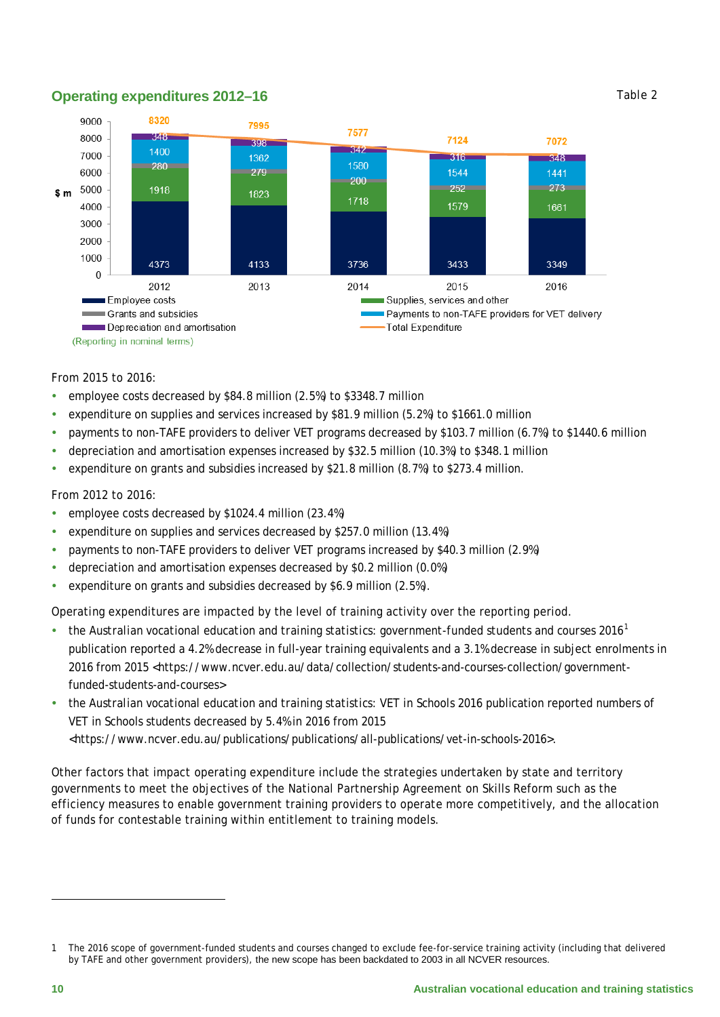# **Operating expenditures 2012–16**



#### From 2015 to 2016:

- employee costs decreased by \$84.8 million (2.5%) to \$3348.7 million
- expenditure on supplies and services increased by \$81.9 million (5.2%) to \$1661.0 million
- payments to non-TAFE providers to deliver VET programs decreased by \$103.7 million (6.7%) to \$1440.6 million
- depreciation and amortisation expenses increased by \$32.5 million (10.3%) to \$348.1 million
- expenditure on grants and subsidies increased by \$21.8 million  $(8.7%)$  to \$273.4 million.

#### From 2012 to 2016:

- employee costs decreased by \$1024.4 million (23.4%)
- expenditure on supplies and services decreased by \$257.0 million (13.4%)
- payments to non-TAFE providers to deliver VET programs increased by \$40.3 million (2.9%)
- depreciation and amortisation expenses decreased by \$0.2 million (0.0%)
- expenditure on grants and subsidies decreased by \$6.9 million (2.5%).

Operating expenditures are impacted by the level of training activity over the reporting period.

- the *Australian vocational education and training statistics: government-funded students and courses 2016[1](#page-9-0)* publication reported a 4.2% decrease in full-year training equivalents and a 3.1% decrease in subject enrolments in 2016 from 2015 <https://www.ncver.edu.au/data/collection/students-and-courses-collection/governmentfunded-students-and-courses>
- the *Australian vocational education and training statistics: VET in Schools 2016* publication reported numbers of VET in Schools students decreased by 5.4% in 2016 from 2015 <https://www.ncver.edu.au/publications/publications/all-publications/vet-in-schools-2016>.

Other factors that impact operating expenditure include the strategies undertaken by state and territory governments to meet the objectives of the National Partnership Agreement on Skills Reform such as the efficiency measures to enable government training providers to operate more competitively, and the allocation of funds for contestable training within entitlement to training models.

 $\overline{a}$ 

<span id="page-9-0"></span><sup>1</sup> The 2016 scope of government-funded students and courses changed to exclude fee-for-service training activity (including that delivered by TAFE and other government providers), the new scope has been backdated to 2003 in all NCVER resources.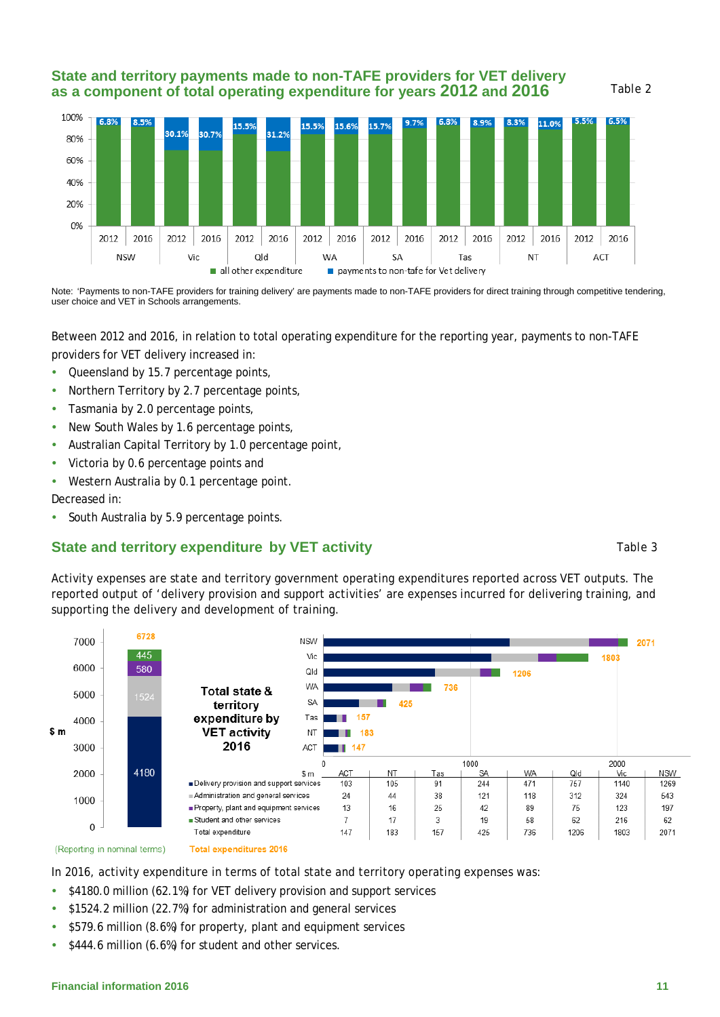### **State and territory payments made to non-TAFE providers for VET delivery as a component of total operating expenditure for years 2012 and 2016**



Note: 'Payments to non-TAFE providers for training delivery' are payments made to non-TAFE providers for direct training through competitive tendering, user choice and VET in Schools arrangements.

Between 2012 and 2016, in relation to total operating expenditure for the reporting year, payments to non-TAFE providers for VET delivery increased in:

- Queensland by 15.7 percentage points,
- Northern Territory by 2.7 percentage points,
- Tasmania by 2.0 percentage points,
- New South Wales by 1.6 percentage points,
- Australian Capital Territory by 1.0 percentage point,
- Victoria by 0.6 percentage points and
- Western Australia by 0.1 percentage point.

Decreased in:

• South Australia by 5.9 percentage points.

### **State and territory expenditure by VET activity**

### Activity expenses are state and territory government operating expenditures reported across VET outputs. The reported output of 'delivery provision and support activities' are expenses incurred for delivering training, and supporting the delivery and development of training.



In 2016, activity expenditure in terms of total state and territory operating expenses was:

- $\bullet$  \$4180.0 million (62.1%) for VET delivery provision and support services
- \$1524.2 million (22.7%) for administration and general services
- \$579.6 million (8.6%) for property, plant and equipment services
- $\bullet$  \$444.6 million (6.6%) for student and other services.

#### **Financial information 2016** 11

#### *Table 3*

*Table 2*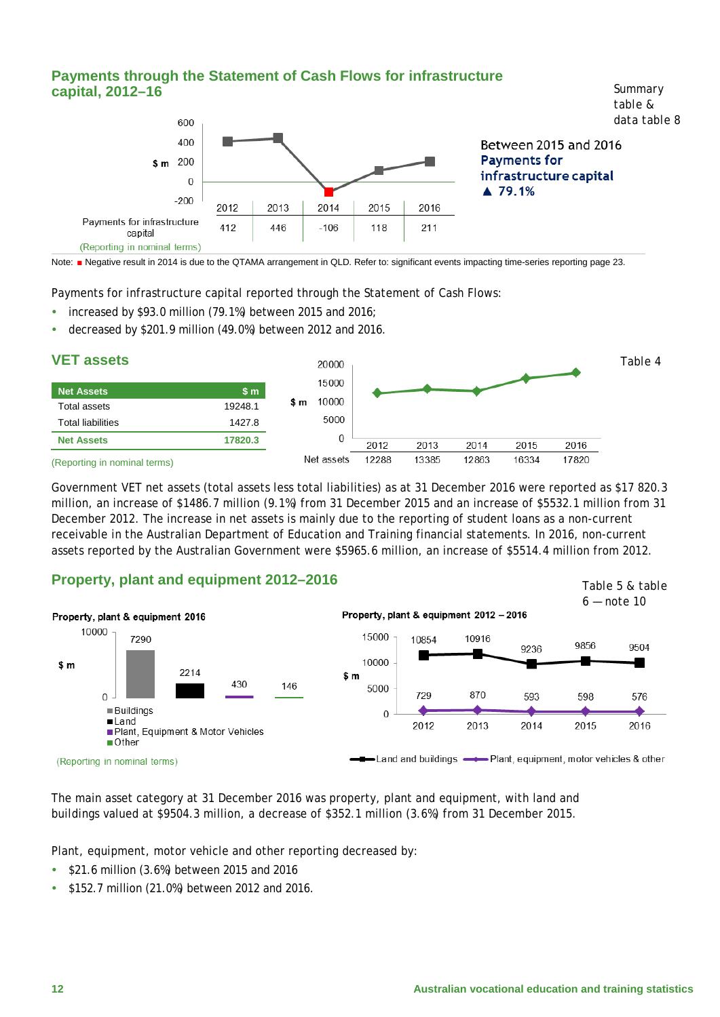

Note: ■ Negative result in 2014 is due to the QTAMA arrangement in QLD. Refer to: significant events impacting time-series reporting page 23.

Payments for infrastructure capital reported through the Statement of Cash Flows:

- increased by \$93.0 million (79.1%) between 2015 and 2016;
- decreased by \$201.9 million (49.0%) between 2012 and 2016.



(Reporting in nominal terms)

Government VET net assets (total assets less total liabilities) as at 31 December 2016 were reported as \$17 820.3 million, an increase of \$1486.7 million (9.1%) from 31 December 2015 and an increase of \$5532.1 million from 31 December 2012. The increase in net assets is mainly due to the reporting of student loans as a non-current receivable in the Australian Department of Education and Training financial statements. In 2016, non-current assets reported by the Australian Government were \$5965.6 million, an increase of \$5514.4 million from 2012.

### **Property, plant and equipment 2012–2016**



<span id="page-11-0"></span>The main asset category at 31 December 2016 was property, plant and equipment, with land and buildings valued at \$9504.3 million, a decrease of \$352.1 million (3.6%) from 31 December 2015.

Plant, equipment, motor vehicle and other reporting decreased by:

- $\cdot$  \$21.6 million (3.6%) between 2015 and 2016
- **\$152.7 million (21.0%) between 2012 and 2016.**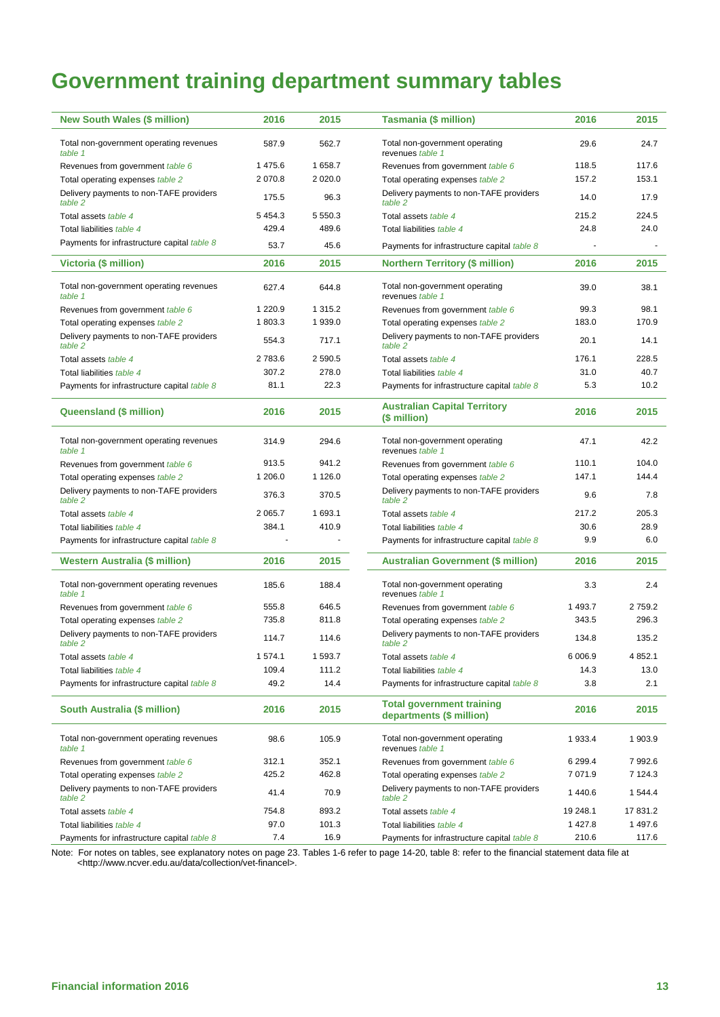# **Government training department summary tables**

| <b>New South Wales (\$ million)</b>                | 2016       | 2015        | <b>Tasmania (\$ million)</b>                                 | 2016        | 2015        |
|----------------------------------------------------|------------|-------------|--------------------------------------------------------------|-------------|-------------|
| Total non-government operating revenues<br>table 1 | 587.9      | 562.7       | Total non-government operating<br>revenues table 1           | 29.6        | 24.7        |
| Revenues from government table 6                   | 1 475.6    | 1 658.7     | Revenues from government table 6                             | 118.5       | 117.6       |
| Total operating expenses table 2                   | 2 070.8    | 2 0 2 0.0   | Total operating expenses table 2                             | 157.2       | 153.1       |
| Delivery payments to non-TAFE providers<br>table 2 | 175.5      | 96.3        | Delivery payments to non-TAFE providers<br>table 2           | 14.0        | 17.9        |
| Total assets table 4                               | 5 4 5 4 .3 | 5 5 5 0 . 3 | Total assets table 4                                         | 215.2       | 224.5       |
| Total liabilities table 4                          | 429.4      | 489.6       | Total liabilities table 4                                    | 24.8        | 24.0        |
| Payments for infrastructure capital table 8        | 53.7       | 45.6        | Payments for infrastructure capital table 8                  |             |             |
| Victoria (\$ million)                              | 2016       | 2015        | <b>Northern Territory (\$ million)</b>                       | 2016        | 2015        |
| Total non-government operating revenues<br>table 1 | 627.4      | 644.8       | Total non-government operating<br>revenues table 1           | 39.0        | 38.1        |
| Revenues from government table 6                   | 1 2 2 0.9  | 1 3 1 5 . 2 | Revenues from government table 6                             | 99.3        | 98.1        |
| Total operating expenses table 2                   | 1803.3     | 1939.0      | Total operating expenses table 2                             | 183.0       | 170.9       |
| Delivery payments to non-TAFE providers<br>table 2 | 554.3      | 717.1       | Delivery payments to non-TAFE providers<br>table 2           | 20.1        | 14.1        |
| Total assets table 4                               | 2783.6     | 2 590.5     | Total assets table 4                                         | 176.1       | 228.5       |
| Total liabilities table 4                          | 307.2      | 278.0       | Total liabilities table 4                                    | 31.0        | 40.7        |
| Payments for infrastructure capital table 8        | 81.1       | 22.3        | Payments for infrastructure capital table 8                  | 5.3         | 10.2        |
| <b>Queensland (\$ million)</b>                     | 2016       | 2015        | <b>Australian Capital Territory</b><br>(\$ million)          | 2016        | 2015        |
| Total non-government operating revenues<br>table 1 | 314.9      | 294.6       | Total non-government operating<br>revenues table 1           | 47.1        | 42.2        |
| Revenues from government table 6                   | 913.5      | 941.2       | Revenues from government table 6                             | 110.1       | 104.0       |
| Total operating expenses table 2                   | 1 206.0    | 1 1 2 6 .0  | Total operating expenses table 2                             | 147.1       | 144.4       |
| Delivery payments to non-TAFE providers<br>table 2 | 376.3      | 370.5       | Delivery payments to non-TAFE providers<br>table 2           | 9.6         | 7.8         |
| Total assets table 4                               | 2 0 65.7   | 1 693.1     | Total assets table 4                                         | 217.2       | 205.3       |
| Total liabilities table 4                          | 384.1      | 410.9       | Total liabilities table 4                                    | 30.6        | 28.9        |
| Payments for infrastructure capital table 8        |            |             | Payments for infrastructure capital table 8                  | 9.9         | 6.0         |
| Western Australia (\$ million)                     | 2016       | 2015        | <b>Australian Government (\$ million)</b>                    | 2016        | 2015        |
| Total non-government operating revenues<br>table 1 | 185.6      | 188.4       | Total non-government operating<br>revenues table 1           | 3.3         | 2.4         |
| Revenues from government table 6                   | 555.8      | 646.5       | Revenues from government table 6                             | 1 493.7     | 2759.2      |
| Total operating expenses table 2                   | 735.8      | 811.8       | Total operating expenses table 2                             | 343.5       | 296.3       |
| Delivery payments to non-TAFE providers<br>table 2 | 114.7      | 114.6       | Delivery payments to non-TAFE providers<br>table 2           | 134.8       | 135.2       |
| Total assets table 4                               | 1574.1     | 1 593.7     | Total assets table 4                                         | 6 0 0 6.9   | 4 8 5 2.1   |
| Total liabilities table 4                          | 109.4      | 111.2       | Total liabilities table 4                                    | 14.3        | 13.0        |
| Payments for infrastructure capital table 8        | 49.2       | 14.4        | Payments for infrastructure capital table 8                  | 3.8         | 2.1         |
| South Australia (\$ million)                       | 2016       | 2015        | <b>Total government training</b><br>departments (\$ million) | 2016        | 2015        |
| Total non-government operating revenues<br>table 1 | 98.6       | 105.9       | Total non-government operating<br>revenues table 1           | 1933.4      | 1 903.9     |
| Revenues from government table 6                   | 312.1      | 352.1       | Revenues from government table 6                             | 6 299.4     | 7992.6      |
| Total operating expenses table 2                   | 425.2      | 462.8       | Total operating expenses table 2                             | 7 0 7 1 .9  | 7 1 2 4 . 3 |
| Delivery payments to non-TAFE providers<br>table 2 | 41.4       | 70.9        | Delivery payments to non-TAFE providers<br>table 2           | 1440.6      | 1 544.4     |
| Total assets table 4                               | 754.8      | 893.2       | Total assets table 4                                         | 19 248.1    | 17 831.2    |
| Total liabilities table 4                          | 97.0       | 101.3       | Total liabilities table 4                                    | 1 4 2 7 . 8 | 1497.6      |
| Payments for infrastructure capital table 8        | 7.4        | 16.9        | Payments for infrastructure capital table 8                  | 210.6       | 117.6       |

<span id="page-12-0"></span>Note: For notes on tables, see explanatory notes on page 23. Tables 1-6 refer to page 14-20, table 8: refer to the financial statement data file at <http://www.ncver.edu.au/data/collection/vet-financel>.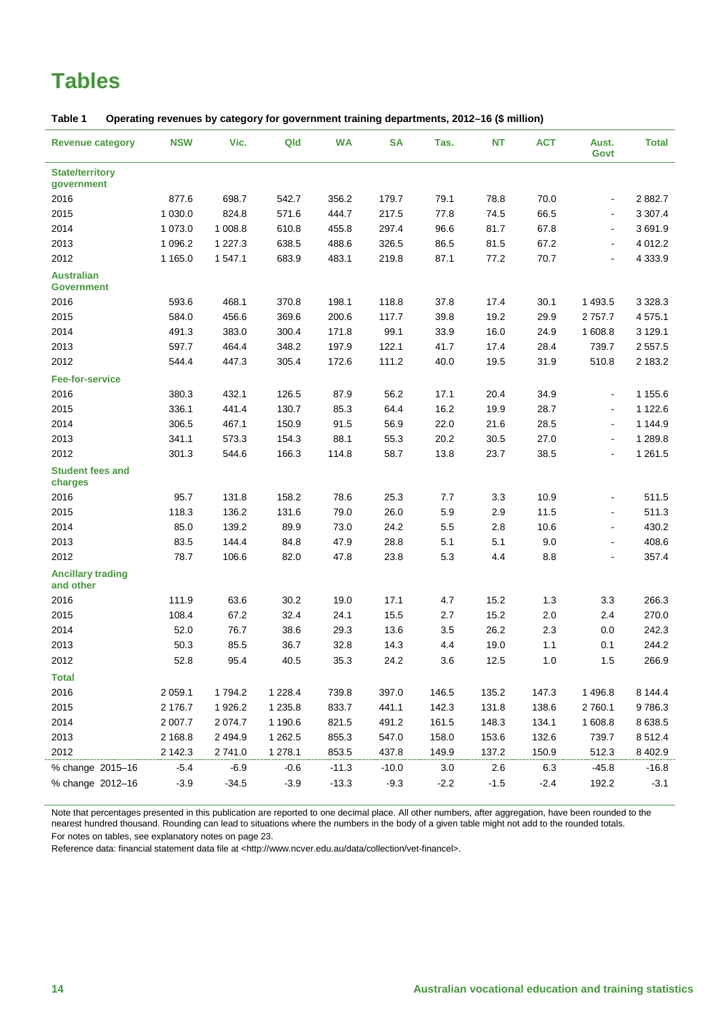# **Tables**

<span id="page-13-0"></span>

| Table 1 |  | Operating revenues by category for government training departments, 2012–16 (\$ million) |  |  |
|---------|--|------------------------------------------------------------------------------------------|--|--|
|---------|--|------------------------------------------------------------------------------------------|--|--|

| <b>Revenue category</b>                | <b>NSW</b>  | Vic.        | Qld         | <b>WA</b> | <b>SA</b> | Tas.   | NT     | <b>ACT</b> | Aust.<br>Govt            | <b>Total</b> |
|----------------------------------------|-------------|-------------|-------------|-----------|-----------|--------|--------|------------|--------------------------|--------------|
| <b>State/territory</b><br>government   |             |             |             |           |           |        |        |            |                          |              |
| 2016                                   | 877.6       | 698.7       | 542.7       | 356.2     | 179.7     | 79.1   | 78.8   | 70.0       | $\blacksquare$           | 2882.7       |
| 2015                                   | 1 0 3 0.0   | 824.8       | 571.6       | 444.7     | 217.5     | 77.8   | 74.5   | 66.5       | $\blacksquare$           | 3 3 0 7.4    |
| 2014                                   | 1 073.0     | 1 008.8     | 610.8       | 455.8     | 297.4     | 96.6   | 81.7   | 67.8       | $\blacksquare$           | 3691.9       |
| 2013                                   | 1 0 9 6.2   | 1 2 2 7 . 3 | 638.5       | 488.6     | 326.5     | 86.5   | 81.5   | 67.2       | $\blacksquare$           | 4 0 1 2.2    |
| 2012                                   | 1 1 6 5 . 0 | 1 547.1     | 683.9       | 483.1     | 219.8     | 87.1   | 77.2   | 70.7       | $\overline{\phantom{a}}$ | 4 3 3 3 . 9  |
| <b>Australian</b><br><b>Government</b> |             |             |             |           |           |        |        |            |                          |              |
| 2016                                   | 593.6       | 468.1       | 370.8       | 198.1     | 118.8     | 37.8   | 17.4   | 30.1       | 1 4 9 3.5                | 3 3 28.3     |
| 2015                                   | 584.0       | 456.6       | 369.6       | 200.6     | 117.7     | 39.8   | 19.2   | 29.9       | 2 7 5 7 . 7              | 4575.1       |
| 2014                                   | 491.3       | 383.0       | 300.4       | 171.8     | 99.1      | 33.9   | 16.0   | 24.9       | 1 608.8                  | 3 1 2 9 . 1  |
| 2013                                   | 597.7       | 464.4       | 348.2       | 197.9     | 122.1     | 41.7   | 17.4   | 28.4       | 739.7                    | 2 5 5 7 . 5  |
| 2012                                   | 544.4       | 447.3       | 305.4       | 172.6     | 111.2     | 40.0   | 19.5   | 31.9       | 510.8                    | 2 183.2      |
| <b>Fee-for-service</b>                 |             |             |             |           |           |        |        |            |                          |              |
| 2016                                   | 380.3       | 432.1       | 126.5       | 87.9      | 56.2      | 17.1   | 20.4   | 34.9       | $\blacksquare$           | 1 155.6      |
| 2015                                   | 336.1       | 441.4       | 130.7       | 85.3      | 64.4      | 16.2   | 19.9   | 28.7       | $\blacksquare$           | 1 1 2 2.6    |
| 2014                                   | 306.5       | 467.1       | 150.9       | 91.5      | 56.9      | 22.0   | 21.6   | 28.5       | $\blacksquare$           | 1 144.9      |
| 2013                                   | 341.1       | 573.3       | 154.3       | 88.1      | 55.3      | 20.2   | 30.5   | 27.0       | $\overline{\phantom{a}}$ | 1 2 8 9.8    |
| 2012                                   | 301.3       | 544.6       | 166.3       | 114.8     | 58.7      | 13.8   | 23.7   | 38.5       | $\overline{a}$           | 1 2 6 1 .5   |
| <b>Student fees and</b><br>charges     |             |             |             |           |           |        |        |            |                          |              |
| 2016                                   | 95.7        | 131.8       | 158.2       | 78.6      | 25.3      | 7.7    | 3.3    | 10.9       | $\overline{\phantom{a}}$ | 511.5        |
| 2015                                   | 118.3       | 136.2       | 131.6       | 79.0      | 26.0      | 5.9    | 2.9    | 11.5       | $\overline{\phantom{a}}$ | 511.3        |
| 2014                                   | 85.0        | 139.2       | 89.9        | 73.0      | 24.2      | 5.5    | 2.8    | 10.6       | $\overline{\phantom{a}}$ | 430.2        |
| 2013                                   | 83.5        | 144.4       | 84.8        | 47.9      | 28.8      | 5.1    | 5.1    | 9.0        | $\overline{\phantom{a}}$ | 408.6        |
| 2012                                   | 78.7        | 106.6       | 82.0        | 47.8      | 23.8      | 5.3    | 4.4    | 8.8        | L.                       | 357.4        |
| <b>Ancillary trading</b><br>and other  |             |             |             |           |           |        |        |            |                          |              |
| 2016                                   | 111.9       | 63.6        | 30.2        | 19.0      | 17.1      | 4.7    | 15.2   | 1.3        | 3.3                      | 266.3        |
| 2015                                   | 108.4       | 67.2        | 32.4        | 24.1      | 15.5      | 2.7    | 15.2   | 2.0        | 2.4                      | 270.0        |
| 2014                                   | 52.0        | 76.7        | 38.6        | 29.3      | 13.6      | 3.5    | 26.2   | 2.3        | 0.0                      | 242.3        |
| 2013                                   | 50.3        | 85.5        | 36.7        | 32.8      | 14.3      | 4.4    | 19.0   | 1.1        | 0.1                      | 244.2        |
| 2012                                   | 52.8        | 95.4        | 40.5        | 35.3      | 24.2      | 3.6    | 12.5   | 1.0        | 1.5                      | 266.9        |
| <b>Total</b>                           |             |             |             |           |           |        |        |            |                          |              |
| 2016                                   | 2 0 5 9.1   | 1794.2      | 1 2 2 8 . 4 | 739.8     | 397.0     | 146.5  | 135.2  | 147.3      | 1496.8                   | 8 144.4      |
| 2015                                   | 2 176.7     | 1926.2      | 1 2 3 5 . 8 | 833.7     | 441.1     | 142.3  | 131.8  | 138.6      | 2760.1                   | 9786.3       |
| 2014                                   | 2 0 0 7.7   | 2 0 74.7    | 1 190.6     | 821.5     | 491.2     | 161.5  | 148.3  | 134.1      | 1 608.8                  | 8 6 38.5     |
| 2013                                   | 2 1 68.8    | 2 4 9 4.9   | 1 2 6 2.5   | 855.3     | 547.0     | 158.0  | 153.6  | 132.6      | 739.7                    | 8512.4       |
| 2012                                   | 2 142.3     | 2741.0      | 1 278.1     | 853.5     | 437.8     | 149.9  | 137.2  | 150.9      | 512.3                    | 8 4 0 2.9    |
| % change 2015-16                       | $-5.4$      | $-6.9$      | $-0.6$      | $-11.3$   | $-10.0$   | 3.0    | 2.6    | 6.3        | $-45.8$                  | $-16.8$      |
| % change 2012-16                       | $-3.9$      | $-34.5$     | $-3.9$      | $-13.3$   | $-9.3$    | $-2.2$ | $-1.5$ | $-2.4$     | 192.2                    | $-3.1$       |
|                                        |             |             |             |           |           |        |        |            |                          |              |

Note that percentages presented in this publication are reported to one decimal place. All other numbers, after aggregation, have been rounded to the nearest hundred thousand. Rounding can lead to situations where the numbers in the body of a given table might not add to the rounded totals. For notes on tables, see explanatory notes on page 23.

Reference data: financial statement data file at <http://www.ncver.edu.au/data/collection/vet-financel>.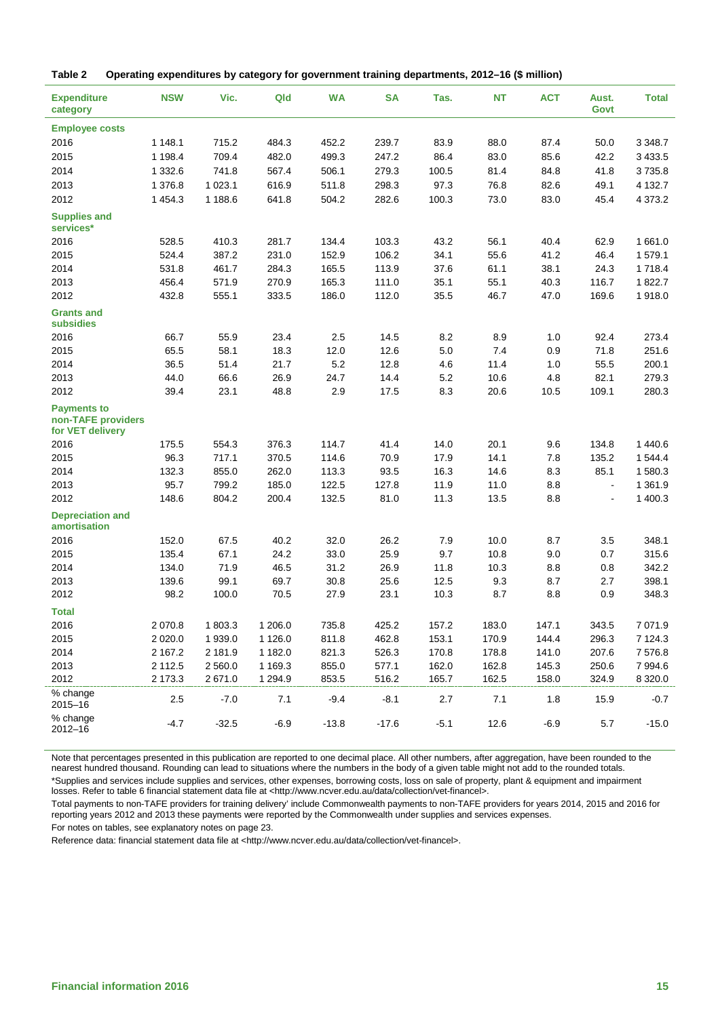<span id="page-14-0"></span>

| Table 2 |  |  | Operating expenditures by category for government training departments, 2012–16 (\$ million) |  |
|---------|--|--|----------------------------------------------------------------------------------------------|--|
|---------|--|--|----------------------------------------------------------------------------------------------|--|

| <b>Expenditure</b><br>category                               | <b>NSW</b>  | Vic.      | Qld         | <b>WA</b> | <b>SA</b> | Tas.   | NT    | <b>ACT</b> | Aust.<br>Govt  | <b>Total</b> |
|--------------------------------------------------------------|-------------|-----------|-------------|-----------|-----------|--------|-------|------------|----------------|--------------|
| <b>Employee costs</b>                                        |             |           |             |           |           |        |       |            |                |              |
| 2016                                                         | 1 148.1     | 715.2     | 484.3       | 452.2     | 239.7     | 83.9   | 88.0  | 87.4       | 50.0           | 3 3 4 8.7    |
| 2015                                                         | 1 1 9 8.4   | 709.4     | 482.0       | 499.3     | 247.2     | 86.4   | 83.0  | 85.6       | 42.2           | 3 4 3 3.5    |
| 2014                                                         | 1 3 3 2.6   | 741.8     | 567.4       | 506.1     | 279.3     | 100.5  | 81.4  | 84.8       | 41.8           | 3735.8       |
| 2013                                                         | 1 376.8     | 1 0 2 3.1 | 616.9       | 511.8     | 298.3     | 97.3   | 76.8  | 82.6       | 49.1           | 4 132.7      |
| 2012                                                         | 1 4 5 4 . 3 | 1 188.6   | 641.8       | 504.2     | 282.6     | 100.3  | 73.0  | 83.0       | 45.4           | 4 3 7 3 . 2  |
| <b>Supplies and</b><br>services*                             |             |           |             |           |           |        |       |            |                |              |
| 2016                                                         | 528.5       | 410.3     | 281.7       | 134.4     | 103.3     | 43.2   | 56.1  | 40.4       | 62.9           | 1661.0       |
| 2015                                                         | 524.4       | 387.2     | 231.0       | 152.9     | 106.2     | 34.1   | 55.6  | 41.2       | 46.4           | 1579.1       |
| 2014                                                         | 531.8       | 461.7     | 284.3       | 165.5     | 113.9     | 37.6   | 61.1  | 38.1       | 24.3           | 1718.4       |
| 2013                                                         | 456.4       | 571.9     | 270.9       | 165.3     | 111.0     | 35.1   | 55.1  | 40.3       | 116.7          | 1822.7       |
| 2012                                                         | 432.8       | 555.1     | 333.5       | 186.0     | 112.0     | 35.5   | 46.7  | 47.0       | 169.6          | 1918.0       |
| <b>Grants and</b><br><b>subsidies</b>                        |             |           |             |           |           |        |       |            |                |              |
| 2016                                                         | 66.7        | 55.9      | 23.4        | 2.5       | 14.5      | 8.2    | 8.9   | 1.0        | 92.4           | 273.4        |
| 2015                                                         | 65.5        | 58.1      | 18.3        | 12.0      | 12.6      | 5.0    | 7.4   | 0.9        | 71.8           | 251.6        |
| 2014                                                         | 36.5        | 51.4      | 21.7        | 5.2       | 12.8      | 4.6    | 11.4  | 1.0        | 55.5           | 200.1        |
| 2013                                                         | 44.0        | 66.6      | 26.9        | 24.7      | 14.4      | 5.2    | 10.6  | 4.8        | 82.1           | 279.3        |
| 2012                                                         | 39.4        | 23.1      | 48.8        | 2.9       | 17.5      | 8.3    | 20.6  | 10.5       | 109.1          | 280.3        |
| <b>Payments to</b><br>non-TAFE providers<br>for VET delivery |             |           |             |           |           |        |       |            |                |              |
| 2016                                                         | 175.5       | 554.3     | 376.3       | 114.7     | 41.4      | 14.0   | 20.1  | 9.6        | 134.8          | 1 440.6      |
| 2015                                                         | 96.3        | 717.1     | 370.5       | 114.6     | 70.9      | 17.9   | 14.1  | 7.8        | 135.2          | 1544.4       |
| 2014                                                         | 132.3       | 855.0     | 262.0       | 113.3     | 93.5      | 16.3   | 14.6  | 8.3        | 85.1           | 1580.3       |
| 2013                                                         | 95.7        | 799.2     | 185.0       | 122.5     | 127.8     | 11.9   | 11.0  | 8.8        | $\blacksquare$ | 1 3 6 1 .9   |
| 2012                                                         | 148.6       | 804.2     | 200.4       | 132.5     | 81.0      | 11.3   | 13.5  | 8.8        | $\overline{a}$ | 1 400.3      |
| <b>Depreciation and</b><br>amortisation                      |             |           |             |           |           |        |       |            |                |              |
| 2016                                                         | 152.0       | 67.5      | 40.2        | 32.0      | 26.2      | 7.9    | 10.0  | 8.7        | 3.5            | 348.1        |
| 2015                                                         | 135.4       | 67.1      | 24.2        | 33.0      | 25.9      | 9.7    | 10.8  | 9.0        | 0.7            | 315.6        |
| 2014                                                         | 134.0       | 71.9      | 46.5        | 31.2      | 26.9      | 11.8   | 10.3  | 8.8        | 0.8            | 342.2        |
| 2013                                                         | 139.6       | 99.1      | 69.7        | 30.8      | 25.6      | 12.5   | 9.3   | 8.7        | 2.7            | 398.1        |
| 2012                                                         | 98.2        | 100.0     | 70.5        | 27.9      | 23.1      | 10.3   | 8.7   | 8.8        | 0.9            | 348.3        |
| <b>Total</b>                                                 |             |           |             |           |           |        |       |            |                |              |
| 2016                                                         | 2 0 7 0.8   | 1803.3    | 1 206.0     | 735.8     | 425.2     | 157.2  | 183.0 | 147.1      | 343.5          | 7 0 7 1.9    |
| 2015                                                         | 2 0 2 0.0   | 1939.0    | 1 1 2 6 .0  | 811.8     | 462.8     | 153.1  | 170.9 | 144.4      | 296.3          | 7 1 2 4 . 3  |
| 2014                                                         | 2 167.2     | 2 181.9   | 1 182.0     | 821.3     | 526.3     | 170.8  | 178.8 | 141.0      | 207.6          | 7576.8       |
| 2013                                                         | 2 112.5     | 2 5 6 0.0 | 1 1 69.3    | 855.0     | 577.1     | 162.0  | 162.8 | 145.3      | 250.6          | 7994.6       |
| 2012                                                         | 2 173.3     | 2671.0    | 1 2 9 4 . 9 | 853.5     | 516.2     | 165.7  | 162.5 | 158.0      | 324.9          | 8 3 2 0.0    |
| % change<br>$2015 - 16$                                      | 2.5         | $-7.0$    | 7.1         | $-9.4$    | $-8.1$    | 2.7    | 7.1   | 1.8        | 15.9           | $-0.7$       |
| % change<br>$2012 - 16$                                      | $-4.7$      | $-32.5$   | $-6.9$      | $-13.8$   | $-17.6$   | $-5.1$ | 12.6  | $-6.9$     | 5.7            | $-15.0$      |

Note that percentages presented in this publication are reported to one decimal place. All other numbers, after aggregation, have been rounded to the nearest hundred thousand. Rounding can lead to situations where the numbers in the body of a given table might not add to the rounded totals. \*Supplies and services include supplies and services, other expenses, borrowing costs, loss on sale of property, plant & equipment and impairment losses. Refer to table 6 financial statement data file at <http://www.ncver.edu.au/data/collection/vet-financel>.

Total payments to non-TAFE providers for training delivery' include Commonwealth payments to non-TAFE providers for years 2014, 2015 and 2016 for reporting years 2012 and 2013 these payments were reported by the Commonwealth under supplies and services expenses. For notes on tables, see explanatory notes on page 23.

Reference data: financial statement data file at <http://www.ncver.edu.au/data/collection/vet-financel>.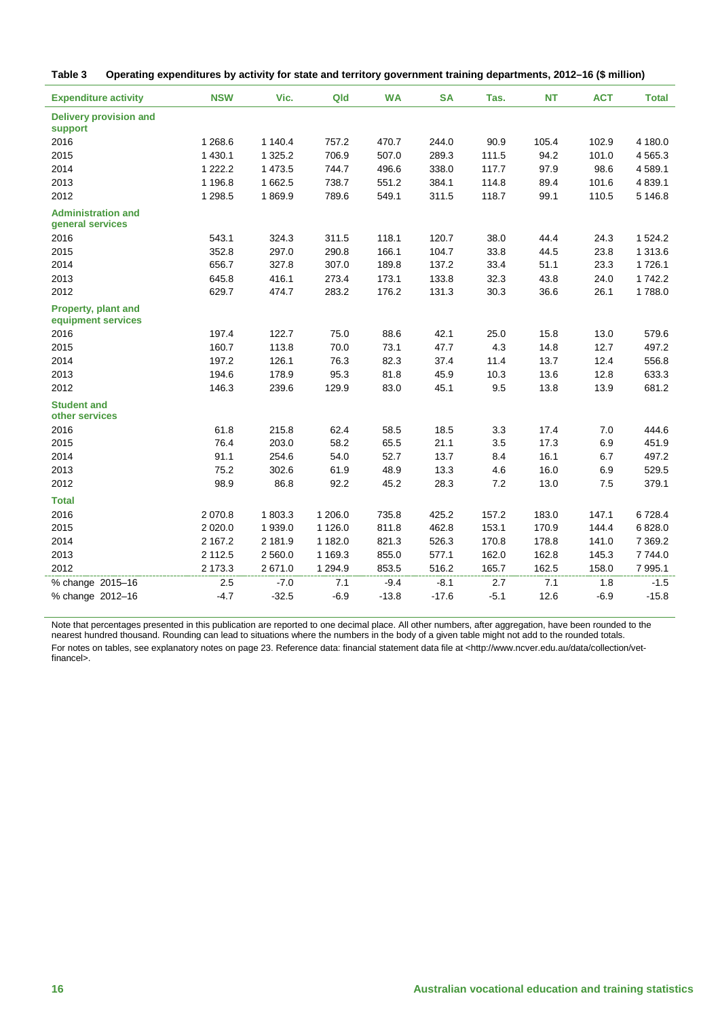<span id="page-15-0"></span>

| Table 3 |  |  | Operating expenditures by activity for state and territory government training departments, 2012-16 (\$ million) |
|---------|--|--|------------------------------------------------------------------------------------------------------------------|
|---------|--|--|------------------------------------------------------------------------------------------------------------------|

| <b>Expenditure activity</b>                      | <b>NSW</b> | Vic.        | Qld         | <b>WA</b> | <b>SA</b> | Tas.   | <b>NT</b> | <b>ACT</b> | <b>Total</b> |
|--------------------------------------------------|------------|-------------|-------------|-----------|-----------|--------|-----------|------------|--------------|
| <b>Delivery provision and</b><br>support         |            |             |             |           |           |        |           |            |              |
| 2016                                             | 1 2 68.6   | 1 140.4     | 757.2       | 470.7     | 244.0     | 90.9   | 105.4     | 102.9      | 4 180.0      |
| 2015                                             | 1 4 3 0.1  | 1 3 2 5 . 2 | 706.9       | 507.0     | 289.3     | 111.5  | 94.2      | 101.0      | 4565.3       |
| 2014                                             | 1 2 2 2.2  | 1 473.5     | 744.7       | 496.6     | 338.0     | 117.7  | 97.9      | 98.6       | 4589.1       |
| 2013                                             | 1 1 9 6.8  | 1 662.5     | 738.7       | 551.2     | 384.1     | 114.8  | 89.4      | 101.6      | 4 8 3 9.1    |
| 2012                                             | 1 2 9 8.5  | 1869.9      | 789.6       | 549.1     | 311.5     | 118.7  | 99.1      | 110.5      | 5 146.8      |
| <b>Administration and</b><br>general services    |            |             |             |           |           |        |           |            |              |
| 2016                                             | 543.1      | 324.3       | 311.5       | 118.1     | 120.7     | 38.0   | 44.4      | 24.3       | 1 5 2 4 . 2  |
| 2015                                             | 352.8      | 297.0       | 290.8       | 166.1     | 104.7     | 33.8   | 44.5      | 23.8       | 1 313.6      |
| 2014                                             | 656.7      | 327.8       | 307.0       | 189.8     | 137.2     | 33.4   | 51.1      | 23.3       | 1726.1       |
| 2013                                             | 645.8      | 416.1       | 273.4       | 173.1     | 133.8     | 32.3   | 43.8      | 24.0       | 1742.2       |
| 2012                                             | 629.7      | 474.7       | 283.2       | 176.2     | 131.3     | 30.3   | 36.6      | 26.1       | 1788.0       |
| <b>Property, plant and</b><br>equipment services |            |             |             |           |           |        |           |            |              |
| 2016                                             | 197.4      | 122.7       | 75.0        | 88.6      | 42.1      | 25.0   | 15.8      | 13.0       | 579.6        |
| 2015                                             | 160.7      | 113.8       | 70.0        | 73.1      | 47.7      | 4.3    | 14.8      | 12.7       | 497.2        |
| 2014                                             | 197.2      | 126.1       | 76.3        | 82.3      | 37.4      | 11.4   | 13.7      | 12.4       | 556.8        |
| 2013                                             | 194.6      | 178.9       | 95.3        | 81.8      | 45.9      | 10.3   | 13.6      | 12.8       | 633.3        |
| 2012                                             | 146.3      | 239.6       | 129.9       | 83.0      | 45.1      | 9.5    | 13.8      | 13.9       | 681.2        |
| <b>Student and</b><br>other services             |            |             |             |           |           |        |           |            |              |
| 2016                                             | 61.8       | 215.8       | 62.4        | 58.5      | 18.5      | 3.3    | 17.4      | 7.0        | 444.6        |
| 2015                                             | 76.4       | 203.0       | 58.2        | 65.5      | 21.1      | 3.5    | 17.3      | 6.9        | 451.9        |
| 2014                                             | 91.1       | 254.6       | 54.0        | 52.7      | 13.7      | 8.4    | 16.1      | 6.7        | 497.2        |
| 2013                                             | 75.2       | 302.6       | 61.9        | 48.9      | 13.3      | 4.6    | 16.0      | 6.9        | 529.5        |
| 2012                                             | 98.9       | 86.8        | 92.2        | 45.2      | 28.3      | 7.2    | 13.0      | 7.5        | 379.1        |
| <b>Total</b>                                     |            |             |             |           |           |        |           |            |              |
| 2016                                             | 2 0 7 0.8  | 1803.3      | 1 206.0     | 735.8     | 425.2     | 157.2  | 183.0     | 147.1      | 6728.4       |
| 2015                                             | 2 0 2 0.0  | 1939.0      | 1 1 2 6 .0  | 811.8     | 462.8     | 153.1  | 170.9     | 144.4      | 6828.0       |
| 2014                                             | 2 167.2    | 2 181.9     | 1 182.0     | 821.3     | 526.3     | 170.8  | 178.8     | 141.0      | 7 3 6 9.2    |
| 2013                                             | 2 1 1 2 .5 | 2 5 6 0.0   | 1 1 69.3    | 855.0     | 577.1     | 162.0  | 162.8     | 145.3      | 7744.0       |
| 2012                                             | 2 173.3    | 2671.0      | 1 2 9 4 . 9 | 853.5     | 516.2     | 165.7  | 162.5     | 158.0      | 7 995.1      |
| % change 2015-16                                 | 2.5        | $-7.0$      | 7.1         | $-9.4$    | $-8.1$    | 2.7    | 7.1       | 1.8        | $-1.5$       |
| % change 2012-16                                 | $-4.7$     | $-32.5$     | $-6.9$      | $-13.8$   | $-17.6$   | $-5.1$ | 12.6      | $-6.9$     | $-15.8$      |

Note that percentages presented in this publication are reported to one decimal place. All other numbers, after aggregation, have been rounded to the nearest hundred thousand. Rounding can lead to situations where the numbers in the body of a given table might not add to the rounded totals. For notes on tables, see explanatory notes on page 23. Reference data: financial statement data file at <http://www.ncver.edu.au/data/collection/vetfinancel>.

i.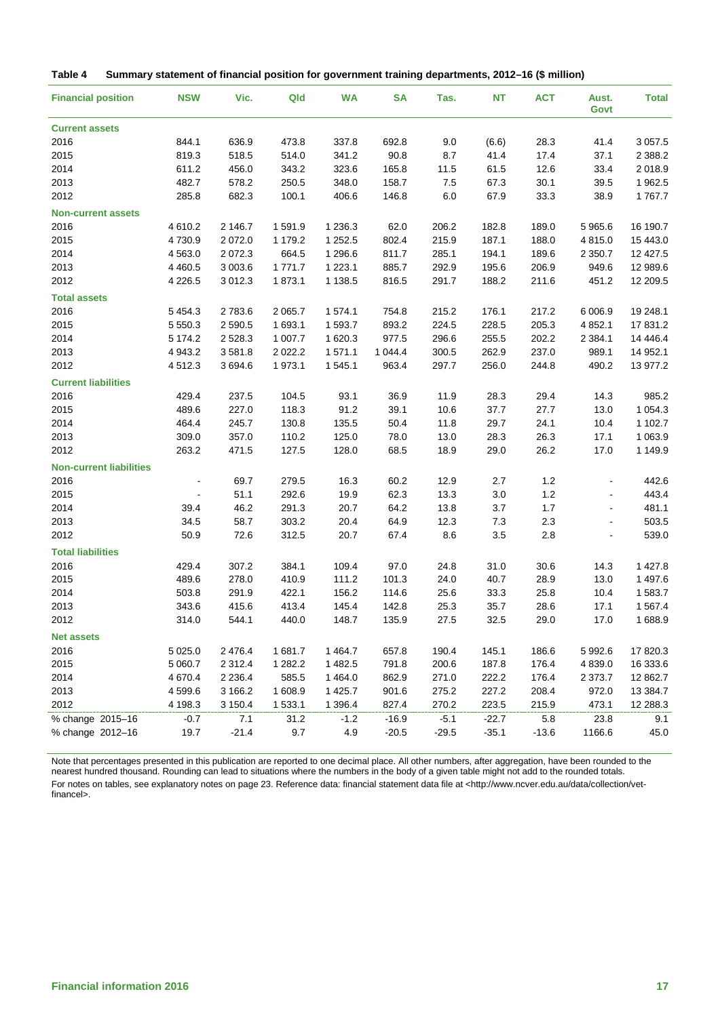<span id="page-16-0"></span>

| Table 4 | Summary statement of financial position for government training departments, 2012-16 (\$ million) |  |  |  |  |  |  |  |  |
|---------|---------------------------------------------------------------------------------------------------|--|--|--|--|--|--|--|--|
|---------|---------------------------------------------------------------------------------------------------|--|--|--|--|--|--|--|--|

| <b>Financial position</b>      | <b>NSW</b>     | Vic.        | Qld       | <b>WA</b>   | <b>SA</b> | Tas.    | <b>NT</b> | <b>ACT</b> | Aust.<br>Govt  | <b>Total</b> |
|--------------------------------|----------------|-------------|-----------|-------------|-----------|---------|-----------|------------|----------------|--------------|
| <b>Current assets</b>          |                |             |           |             |           |         |           |            |                |              |
| 2016                           | 844.1          | 636.9       | 473.8     | 337.8       | 692.8     | 9.0     | (6.6)     | 28.3       | 41.4           | 3 0 5 7.5    |
| 2015                           | 819.3          | 518.5       | 514.0     | 341.2       | 90.8      | 8.7     | 41.4      | 17.4       | 37.1           | 2 3 8 8.2    |
| 2014                           | 611.2          | 456.0       | 343.2     | 323.6       | 165.8     | 11.5    | 61.5      | 12.6       | 33.4           | 2018.9       |
| 2013                           | 482.7          | 578.2       | 250.5     | 348.0       | 158.7     | 7.5     | 67.3      | 30.1       | 39.5           | 1962.5       |
| 2012                           | 285.8          | 682.3       | 100.1     | 406.6       | 146.8     | 6.0     | 67.9      | 33.3       | 38.9           | 1767.7       |
| <b>Non-current assets</b>      |                |             |           |             |           |         |           |            |                |              |
| 2016                           | 4610.2         | 2 146.7     | 1591.9    | 1 2 3 6 . 3 | 62.0      | 206.2   | 182.8     | 189.0      | 5965.6         | 16 190.7     |
| 2015                           | 4730.9         | 2 0 7 2 .0  | 1 179.2   | 1 2 5 2.5   | 802.4     | 215.9   | 187.1     | 188.0      | 4815.0         | 15 443.0     |
| 2014                           | 4 5 6 3.0      | 2 0 7 2 . 3 | 664.5     | 1 296.6     | 811.7     | 285.1   | 194.1     | 189.6      | 2 3 5 0.7      | 12 427.5     |
| 2013                           | 4 4 6 0.5      | 3 0 0 3.6   | 1771.7    | 1 2 2 3 . 1 | 885.7     | 292.9   | 195.6     | 206.9      | 949.6          | 12 989.6     |
| 2012                           | 4 2 2 6 .5     | 3 0 1 2 . 3 | 1873.1    | 1 1 38.5    | 816.5     | 291.7   | 188.2     | 211.6      | 451.2          | 12 209.5     |
| <b>Total assets</b>            |                |             |           |             |           |         |           |            |                |              |
| 2016                           | 5 4 5 4 . 3    | 2783.6      | 2 0 65.7  | 1574.1      | 754.8     | 215.2   | 176.1     | 217.2      | 6 006.9        | 19 248.1     |
| 2015                           | 5 5 5 0 . 3    | 2 5 9 0.5   | 1 693.1   | 1593.7      | 893.2     | 224.5   | 228.5     | 205.3      | 4 8 5 2.1      | 17 831.2     |
| 2014                           | 5 1 7 4 . 2    | 2528.3      | 1 0 0 7.7 | 1620.3      | 977.5     | 296.6   | 255.5     | 202.2      | 2 3 8 4 . 1    | 14 4 4 6.4   |
| 2013                           | 4 9 4 3.2      | 3581.8      | 2 0 2 2.2 | 1571.1      | 1 044.4   | 300.5   | 262.9     | 237.0      | 989.1          | 14 952.1     |
| 2012                           | 4512.3         | 3 694.6     | 1 973.1   | 1 545.1     | 963.4     | 297.7   | 256.0     | 244.8      | 490.2          | 13 977.2     |
| <b>Current liabilities</b>     |                |             |           |             |           |         |           |            |                |              |
| 2016                           | 429.4          | 237.5       | 104.5     | 93.1        | 36.9      | 11.9    | 28.3      | 29.4       | 14.3           | 985.2        |
| 2015                           | 489.6          | 227.0       | 118.3     | 91.2        | 39.1      | 10.6    | 37.7      | 27.7       | 13.0           | 1 0 5 4 . 3  |
| 2014                           | 464.4          | 245.7       | 130.8     | 135.5       | 50.4      | 11.8    | 29.7      | 24.1       | 10.4           | 1 102.7      |
| 2013                           | 309.0          | 357.0       | 110.2     | 125.0       | 78.0      | 13.0    | 28.3      | 26.3       | 17.1           | 1 0 6 3.9    |
| 2012                           | 263.2          | 471.5       | 127.5     | 128.0       | 68.5      | 18.9    | 29.0      | 26.2       | 17.0           | 1 149.9      |
| <b>Non-current liabilities</b> |                |             |           |             |           |         |           |            |                |              |
| 2016                           |                | 69.7        | 279.5     | 16.3        | 60.2      | 12.9    | 2.7       | 1.2        |                | 442.6        |
| 2015                           | $\blacksquare$ | 51.1        | 292.6     | 19.9        | 62.3      | 13.3    | 3.0       | 1.2        | $\blacksquare$ | 443.4        |
| 2014                           | 39.4           | 46.2        | 291.3     | 20.7        | 64.2      | 13.8    | 3.7       | 1.7        | $\blacksquare$ | 481.1        |
| 2013                           | 34.5           | 58.7        | 303.2     | 20.4        | 64.9      | 12.3    | 7.3       | 2.3        | $\blacksquare$ | 503.5        |
| 2012                           | 50.9           | 72.6        | 312.5     | 20.7        | 67.4      | 8.6     | 3.5       | 2.8        | $\overline{a}$ | 539.0        |
| <b>Total liabilities</b>       |                |             |           |             |           |         |           |            |                |              |
| 2016                           | 429.4          | 307.2       | 384.1     | 109.4       | 97.0      | 24.8    | 31.0      | 30.6       | 14.3           | 1 4 2 7 . 8  |
| 2015                           | 489.6          | 278.0       | 410.9     | 111.2       | 101.3     | 24.0    | 40.7      | 28.9       | 13.0           | 1 497.6      |
| 2014                           | 503.8          | 291.9       | 422.1     | 156.2       | 114.6     | 25.6    | 33.3      | 25.8       | 10.4           | 1583.7       |
| 2013                           | 343.6          | 415.6       | 413.4     | 145.4       | 142.8     | 25.3    | 35.7      | 28.6       | 17.1           | 1 5 6 7 . 4  |
| 2012                           | 314.0          | 544.1       | 440.0     | 148.7       | 135.9     | 27.5    | 32.5      | 29.0       | 17.0           | 1688.9       |
| <b>Net assets</b>              |                |             |           |             |           |         |           |            |                |              |
| 2016                           | 5 0 2 5 .0     | 2 4 7 6.4   | 1681.7    | 1464.7      | 657.8     | 190.4   | 145.1     | 186.6      | 5992.6         | 17 820.3     |
| 2015                           | 5 060.7        | 2 3 1 2 . 4 | 1 2 8 2.2 | 1 482.5     | 791.8     | 200.6   | 187.8     | 176.4      | 4 8 3 9.0      | 16 333.6     |
| 2014                           | 4670.4         | 2 2 3 6.4   | 585.5     | 1464.0      | 862.9     | 271.0   | 222.2     | 176.4      | 2 3 7 3 . 7    | 12 862.7     |
| 2013                           | 4599.6         | 3 166.2     | 1 608.9   | 1 4 2 5.7   | 901.6     | 275.2   | 227.2     | 208.4      | 972.0          | 13 384.7     |
| 2012                           | 4 198.3        | 3 150.4     | 1 533.1   | 1 3 9 6.4   | 827.4     | 270.2   | 223.5     | 215.9      | 473.1          | 12 288.3     |
| % change 2015-16               | $-0.7$         | 7.1         | 31.2      | $-1.2$      | $-16.9$   | $-5.1$  | $-22.7$   | 5.8        | 23.8           | 9.1          |
| % change 2012-16               | 19.7           | $-21.4$     | 9.7       | 4.9         | $-20.5$   | $-29.5$ | $-35.1$   | $-13.6$    | 1166.6         | 45.0         |

Note that percentages presented in this publication are reported to one decimal place. All other numbers, after aggregation, have been rounded to the nearest hundred thousand. Rounding can lead to situations where the numbers in the body of a given table might not add to the rounded totals. For notes on tables, see explanatory notes on page 23. Reference data: financial statement data file at <http://www.ncver.edu.au/data/collection/vetfinancel>.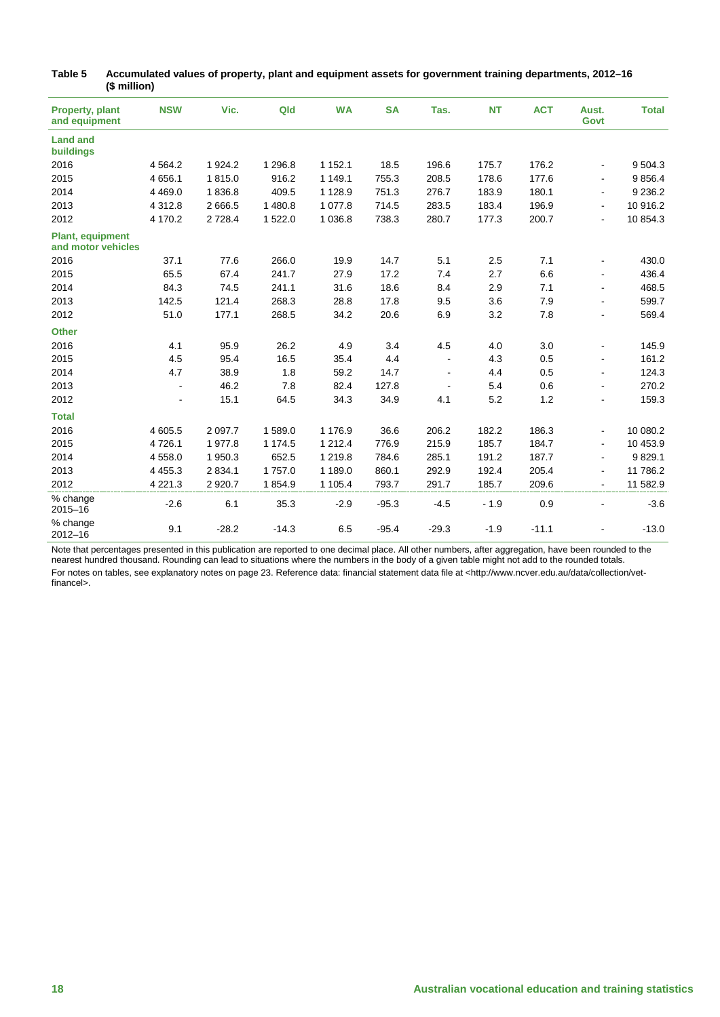| <b>Property, plant</b><br>and equipment       | <b>NSW</b>     | Vic.        | Qld       | <b>WA</b>   | <b>SA</b> | Tas.                     | <b>NT</b> | <b>ACT</b> | Aust.<br>Govt  | <b>Total</b> |
|-----------------------------------------------|----------------|-------------|-----------|-------------|-----------|--------------------------|-----------|------------|----------------|--------------|
| <b>Land and</b><br>buildings                  |                |             |           |             |           |                          |           |            |                |              |
| 2016                                          | 4 5 64.2       | 1 9 2 4 . 2 | 1 2 9 6.8 | 1 1 5 2 . 1 | 18.5      | 196.6                    | 175.7     | 176.2      | ٠              | 9 5 0 4.3    |
| 2015                                          | 4 6 5 6.1      | 1815.0      | 916.2     | 1 149.1     | 755.3     | 208.5                    | 178.6     | 177.6      | ۰.             | 9856.4       |
| 2014                                          | 4 4 6 9.0      | 1836.8      | 409.5     | 1 1 28.9    | 751.3     | 276.7                    | 183.9     | 180.1      | $\blacksquare$ | 9 2 3 6.2    |
| 2013                                          | 4 3 1 2.8      | 2 666.5     | 1 480.8   | 1 0 7 7 . 8 | 714.5     | 283.5                    | 183.4     | 196.9      | ÷.             | 10 916.2     |
| 2012                                          | 4 170.2        | 2728.4      | 1522.0    | 1 0 36.8    | 738.3     | 280.7                    | 177.3     | 200.7      | ÷.             | 10 854.3     |
| <b>Plant, equipment</b><br>and motor vehicles |                |             |           |             |           |                          |           |            |                |              |
| 2016                                          | 37.1           | 77.6        | 266.0     | 19.9        | 14.7      | 5.1                      | 2.5       | 7.1        |                | 430.0        |
| 2015                                          | 65.5           | 67.4        | 241.7     | 27.9        | 17.2      | 7.4                      | 2.7       | 6.6        | $\blacksquare$ | 436.4        |
| 2014                                          | 84.3           | 74.5        | 241.1     | 31.6        | 18.6      | 8.4                      | 2.9       | 7.1        | $\blacksquare$ | 468.5        |
| 2013                                          | 142.5          | 121.4       | 268.3     | 28.8        | 17.8      | 9.5                      | 3.6       | 7.9        | $\blacksquare$ | 599.7        |
| 2012                                          | 51.0           | 177.1       | 268.5     | 34.2        | 20.6      | 6.9                      | 3.2       | 7.8        |                | 569.4        |
| <b>Other</b>                                  |                |             |           |             |           |                          |           |            |                |              |
| 2016                                          | 4.1            | 95.9        | 26.2      | 4.9         | 3.4       | 4.5                      | 4.0       | 3.0        | $\frac{1}{2}$  | 145.9        |
| 2015                                          | 4.5            | 95.4        | 16.5      | 35.4        | 4.4       | $\blacksquare$           | 4.3       | 0.5        | $\blacksquare$ | 161.2        |
| 2014                                          | 4.7            | 38.9        | 1.8       | 59.2        | 14.7      | $\overline{\phantom{a}}$ | 4.4       | 0.5        | $\blacksquare$ | 124.3        |
| 2013                                          |                | 46.2        | 7.8       | 82.4        | 127.8     | $\blacksquare$           | 5.4       | 0.6        |                | 270.2        |
| 2012                                          | $\blacksquare$ | 15.1        | 64.5      | 34.3        | 34.9      | 4.1                      | 5.2       | 1.2        | $\blacksquare$ | 159.3        |
| <b>Total</b>                                  |                |             |           |             |           |                          |           |            |                |              |
| 2016                                          | 4 605.5        | 2 097.7     | 1589.0    | 1 176.9     | 36.6      | 206.2                    | 182.2     | 186.3      | $\blacksquare$ | 10 080.2     |
| 2015                                          | 4726.1         | 1977.8      | 1 174.5   | 1 2 1 2 . 4 | 776.9     | 215.9                    | 185.7     | 184.7      | ÷              | 10 453.9     |
| 2014                                          | 4 5 5 8 . 0    | 1950.3      | 652.5     | 1 2 1 9 . 8 | 784.6     | 285.1                    | 191.2     | 187.7      | $\blacksquare$ | 9829.1       |
| 2013                                          | 4 4 5 5.3      | 2 8 3 4.1   | 1757.0    | 1 189.0     | 860.1     | 292.9                    | 192.4     | 205.4      | $\blacksquare$ | 11 786.2     |
| 2012                                          | 4 2 2 1 . 3    | 2 9 2 0.7   | 1854.9    | 1 105.4     | 793.7     | 291.7                    | 185.7     | 209.6      | $\blacksquare$ | 11 582.9     |
| % change<br>$2015 - 16$                       | $-2.6$         | 6.1         | 35.3      | $-2.9$      | $-95.3$   | $-4.5$                   | $-1.9$    | 0.9        | ÷.             | $-3.6$       |
| % change<br>$2012 - 16$                       | 9.1            | $-28.2$     | $-14.3$   | 6.5         | $-95.4$   | $-29.3$                  | $-1.9$    | $-11.1$    |                | $-13.0$      |

<span id="page-17-0"></span>

| Table 5 | Accumulated values of property, plant and equipment assets for government training departments, 2012-16 |
|---------|---------------------------------------------------------------------------------------------------------|
|         | (\$ million)                                                                                            |

Note that percentages presented in this publication are reported to one decimal place. All other numbers, after aggregation, have been rounded to the nearest hundred thousand. Rounding can lead to situations where the numbers in the body of a given table might not add to the rounded totals. For notes on tables, see explanatory notes on page 23. Reference data: financial statement data file at <http://www.ncver.edu.au/data/collection/vetfinancel>.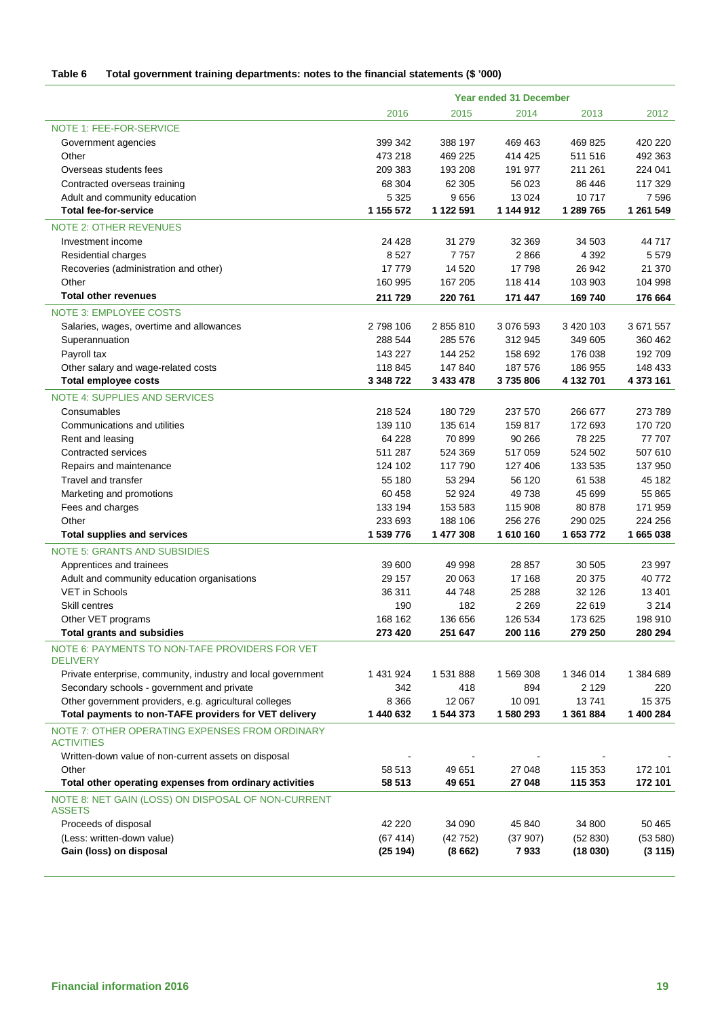#### <span id="page-18-0"></span>**Table 6 Total government training departments: notes to the financial statements (\$ '000)**

|                                                                     | <b>Year ended 31 December</b> |              |                   |                   |                    |  |
|---------------------------------------------------------------------|-------------------------------|--------------|-------------------|-------------------|--------------------|--|
|                                                                     | 2016                          | 2015         | 2014              | 2013              | 2012               |  |
| NOTE 1: FEE-FOR-SERVICE                                             |                               |              |                   |                   |                    |  |
| Government agencies                                                 | 399 342                       | 388 197      | 469 463           | 469 825           | 420 220            |  |
| Other                                                               | 473 218                       | 469 225      | 414 425           | 511 516           | 492 363            |  |
| Overseas students fees                                              | 209 383                       | 193 208      | 191 977           | 211 261           | 224 041            |  |
| Contracted overseas training                                        | 68 304                        | 62 305       | 56 023            | 86 446            | 117 329            |  |
| Adult and community education                                       | 5 3 2 5                       | 9656         | 13 0 24           | 10717             | 7 5 9 6            |  |
| <b>Total fee-for-service</b>                                        | 1 155 572                     | 1 122 591    | 1 144 912         | 1 289 765         | 1 261 549          |  |
| <b>NOTE 2: OTHER REVENUES</b>                                       |                               |              |                   |                   |                    |  |
| Investment income                                                   | 24 4 28                       | 31 279       | 32 369            | 34 503            | 44717              |  |
| Residential charges                                                 | 8527                          | 7757         | 2866              | 4 3 9 2           | 5579               |  |
| Recoveries (administration and other)                               | 17779                         | 14 5 20      | 17798             | 26 942            | 21 370             |  |
| Other                                                               | 160 995                       | 167 205      | 118 414           | 103 903           | 104 998            |  |
| <b>Total other revenues</b>                                         | 211 729                       | 220 761      | 171 447           | 169 740           | 176 664            |  |
| <b>NOTE 3: EMPLOYEE COSTS</b>                                       |                               |              |                   |                   |                    |  |
| Salaries, wages, overtime and allowances                            | 2 798 106                     | 2 855 810    | 3 076 593         | 3 4 20 1 0 3      | 3 671 557          |  |
| Superannuation                                                      | 288 544                       | 285 576      | 312 945           | 349 605           | 360 462            |  |
| Payroll tax                                                         | 143 227                       | 144 252      | 158 692           | 176 038           | 192 709            |  |
| Other salary and wage-related costs                                 | 118 845                       | 147 840      | 187 576           | 186 955           | 148 433            |  |
| <b>Total employee costs</b>                                         | 3 348 722                     | 3 433 478    | 3735806           | 4 132 701         | 4 373 161          |  |
| <b>NOTE 4: SUPPLIES AND SERVICES</b>                                |                               |              |                   |                   |                    |  |
| Consumables                                                         | 218 524                       | 180729       | 237 570           | 266 677           | 273 789            |  |
| Communications and utilities                                        | 139 110                       | 135 614      | 159 817           | 172 693           | 170 720            |  |
| Rent and leasing                                                    | 64 228                        | 70 899       | 90 266            | 78 225            | 77 707             |  |
| Contracted services                                                 | 511 287                       | 524 369      | 517 059           | 524 502           | 507 610            |  |
| Repairs and maintenance                                             | 124 102                       | 117 790      | 127 406           | 133 535           | 137 950            |  |
| Travel and transfer                                                 | 55 180                        | 53 294       | 56 120            | 61 538            | 45 182             |  |
| Marketing and promotions                                            | 60 458                        | 52 924       | 49 738            | 45 699            | 55 865             |  |
| Fees and charges                                                    | 133 194                       | 153 583      | 115 908           | 80 878            | 171 959            |  |
| Other                                                               | 233 693                       | 188 106      | 256 276           | 290 025           | 224 256            |  |
| <b>Total supplies and services</b>                                  | 1 539 776                     | 1 477 308    | 1 610 160         | 1 653 772         | 1665038            |  |
|                                                                     |                               |              |                   |                   |                    |  |
| <b>NOTE 5: GRANTS AND SUBSIDIES</b>                                 |                               |              |                   |                   |                    |  |
| Apprentices and trainees                                            | 39 600                        | 49 998       | 28 857            | 30 505            | 23 997             |  |
| Adult and community education organisations                         | 29 157                        | 20 063       | 17 168            | 20 375            | 40772              |  |
| <b>VET in Schools</b><br>Skill centres                              | 36 311<br>190                 | 44748<br>182 | 25 288<br>2 2 6 9 | 32 1 26<br>22 619 | 13 4 01<br>3 2 1 4 |  |
| Other VET programs                                                  | 168 162                       | 136 656      | 126 534           | 173 625           | 198 910            |  |
| <b>Total grants and subsidies</b>                                   | 273 420                       | 251 647      | 200 116           | 279 250           | 280 294            |  |
|                                                                     |                               |              |                   |                   |                    |  |
| NOTE 6: PAYMENTS TO NON-TAFE PROVIDERS FOR VET<br><b>DELIVERY</b>   |                               |              |                   |                   |                    |  |
| Private enterprise, community, industry and local government        | 1 431 924                     | 1531888      | 1 569 308         | 1 346 014         | 1 384 689          |  |
| Secondary schools - government and private                          | 342                           | 418          | 894               | 2 1 2 9           | 220                |  |
| Other government providers, e.g. agricultural colleges              | 8 3 6 6                       | 12 067       | 10 091            | 13741             | 15 375             |  |
| Total payments to non-TAFE providers for VET delivery               | 1 440 632                     | 1 544 373    | 1 580 293         | 1 361 884         | 1 400 284          |  |
| NOTE 7: OTHER OPERATING EXPENSES FROM ORDINARY                      |                               |              |                   |                   |                    |  |
| <b>ACTIVITIES</b>                                                   |                               |              |                   |                   |                    |  |
| Written-down value of non-current assets on disposal                |                               |              |                   |                   |                    |  |
| Other                                                               | 58 513                        | 49 651       | 27 048            | 115 353           | 172 101            |  |
| Total other operating expenses from ordinary activities             | 58 513                        | 49 651       | 27 048            | 115 353           | 172 101            |  |
| NOTE 8: NET GAIN (LOSS) ON DISPOSAL OF NON-CURRENT<br><b>ASSETS</b> |                               |              |                   |                   |                    |  |
| Proceeds of disposal                                                | 42 2 2 0                      | 34 090       | 45 840            | 34 800            | 50 465             |  |
| (Less: written-down value)                                          | (67414)                       | (42752)      | (37907)           | (52 830)          | (53 580)           |  |
| Gain (loss) on disposal                                             | (25194)                       | (8662)       | 7933              | (18030)           | (3115)             |  |
|                                                                     |                               |              |                   |                   |                    |  |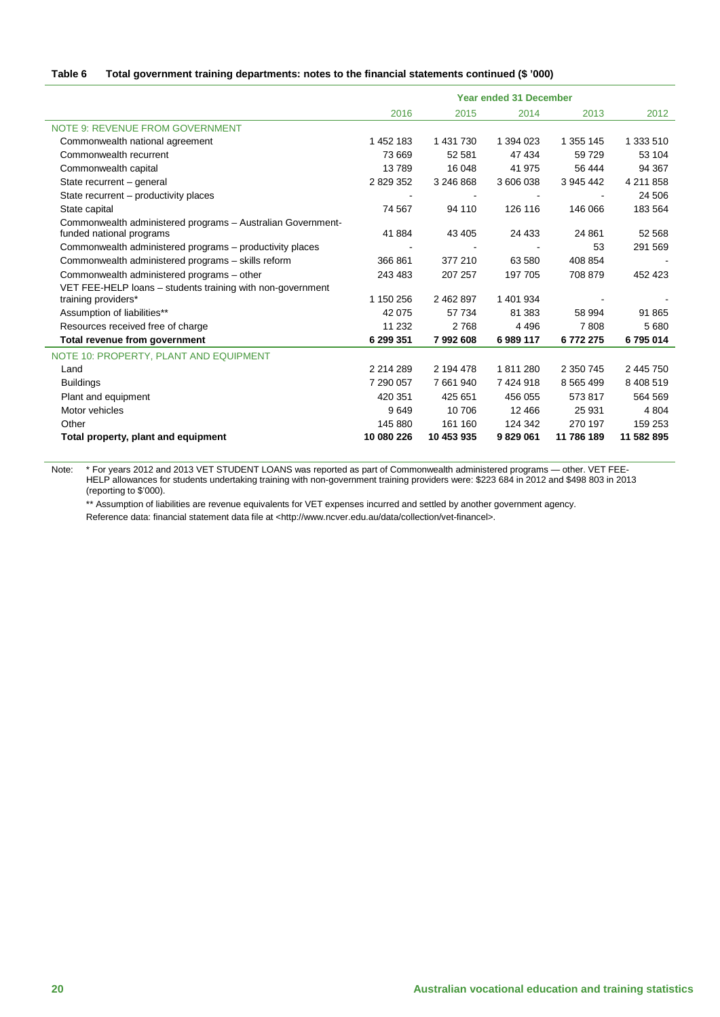#### **Table 6 Total government training departments: notes to the financial statements continued (\$ '000)**

|                                                                                         | <b>Year ended 31 December</b> |                |           |               |            |  |  |
|-----------------------------------------------------------------------------------------|-------------------------------|----------------|-----------|---------------|------------|--|--|
|                                                                                         | 2016                          | 2015           | 2014      | 2013          | 2012       |  |  |
| NOTE 9: REVENUE FROM GOVERNMENT                                                         |                               |                |           |               |            |  |  |
| Commonwealth national agreement                                                         | 1 452 183                     | 1 431 730      | 1 394 023 | 1 355 145     | 1 333 510  |  |  |
| Commonwealth recurrent                                                                  | 73 669                        | 52 581         | 47 434    | 59729         | 53 104     |  |  |
| Commonwealth capital                                                                    | 13789                         | 16 048         | 41 975    | 56 444        | 94 367     |  |  |
| State recurrent - general                                                               | 2 829 352                     | 3 246 868      | 3 606 038 | 3 945 442     | 4 211 858  |  |  |
| State recurrent – productivity places                                                   |                               | $\blacksquare$ |           |               | 24 506     |  |  |
| State capital                                                                           | 74 567                        | 94 110         | 126 116   | 146 066       | 183 564    |  |  |
| Commonwealth administered programs - Australian Government-<br>funded national programs | 41 884                        | 43 4 05        | 24 4 33   | 24 861        | 52 568     |  |  |
| Commonwealth administered programs - productivity places                                |                               |                |           | 53            | 291 569    |  |  |
| Commonwealth administered programs - skills reform                                      | 366 861                       | 377 210        | 63 580    | 408 854       |            |  |  |
| Commonwealth administered programs - other                                              | 243 483                       | 207 257        | 197 705   | 708 879       | 452 423    |  |  |
| VET FEE-HELP loans - students training with non-government                              |                               |                |           |               |            |  |  |
| training providers*                                                                     | 1 150 256                     | 2 462 897      | 1 401 934 |               |            |  |  |
| Assumption of liabilities**                                                             | 42 075                        | 57 734         | 81 383    | 58 994        | 91 865     |  |  |
| Resources received free of charge                                                       | 11 232                        | 2768           | 4 4 9 6   | 7808          | 5 6 8 0    |  |  |
| Total revenue from government                                                           | 6 299 351                     | 7992608        | 6989117   | 6772275       | 6795014    |  |  |
| NOTE 10: PROPERTY, PLANT AND EQUIPMENT                                                  |                               |                |           |               |            |  |  |
| Land                                                                                    | 2 2 1 4 2 8 9                 | 2 194 478      | 1811280   | 2 350 745     | 2 445 750  |  |  |
| <b>Buildings</b>                                                                        | 7 290 057                     | 7 661 940      | 7 424 918 | 8 5 6 5 4 9 9 | 8 408 519  |  |  |
| Plant and equipment                                                                     | 420 351                       | 425 651        | 456 055   | 573817        | 564 569    |  |  |
| Motor vehicles                                                                          | 9649                          | 10706          | 12 4 6 6  | 25 9 31       | 4 8 0 4    |  |  |
| Other                                                                                   | 145 880                       | 161 160        | 124 342   | 270 197       | 159 253    |  |  |
| Total property, plant and equipment                                                     | 10 080 226                    | 10 453 935     | 9829061   | 11 786 189    | 11 582 895 |  |  |

Note: \* For years 2012 and 2013 VET STUDENT LOANS was reported as part of Commonwealth administered programs — other. VET FEE-HELP allowances for students undertaking training with non-government training providers were: \$223 684 in 2012 and \$498 803 in 2013 (reporting to \$'000).

\*\* Assumption of liabilities are revenue equivalents for VET expenses incurred and settled by another government agency. Reference data: financial statement data file at <http://www.ncver.edu.au/data/collection/vet-financel>.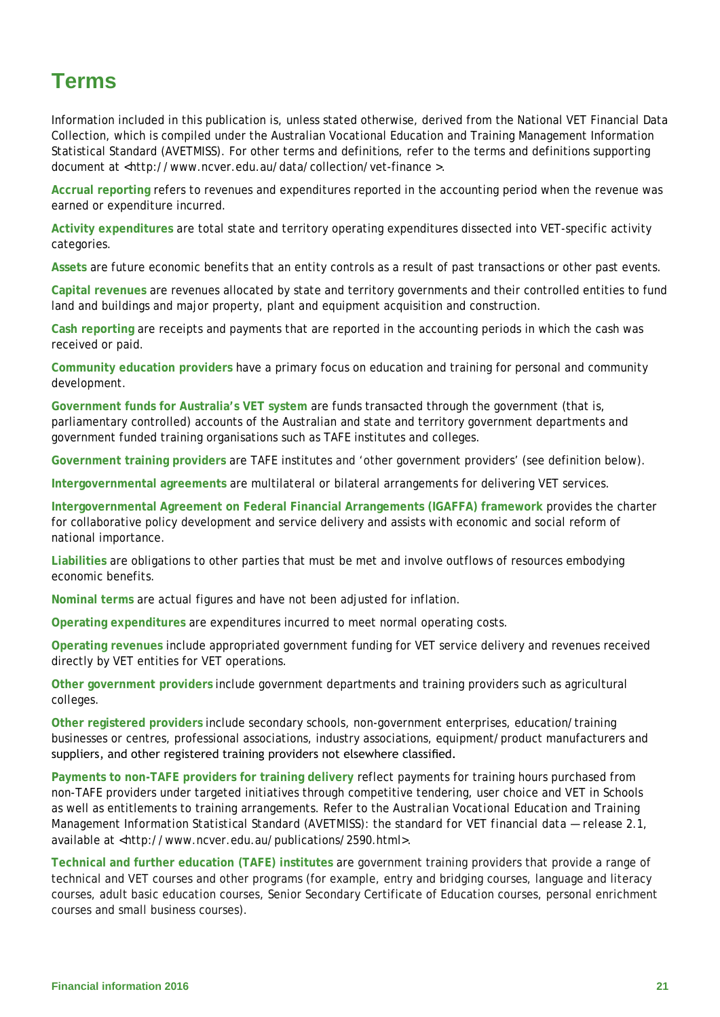# <span id="page-20-0"></span>**Terms**

Information included in this publication is, unless stated otherwise, derived from the National VET Financial Data Collection, which is compiled under the Australian Vocational Education and Training Management Information Statistical Standard (AVETMISS). For other terms and definitions, refer to the terms and definitions supporting document at <http://www.ncver.edu.au/data/collection/vet-finance >.

**Accrual reporting** refers to revenues and expenditures reported in the accounting period when the revenue was earned or expenditure incurred.

**Activity expenditures** are total state and territory operating expenditures dissected into VET-specific activity categories.

**Assets** are future economic benefits that an entity controls as a result of past transactions or other past events.

**Capital revenues** are revenues allocated by state and territory governments and their controlled entities to fund land and buildings and major property, plant and equipment acquisition and construction.

**Cash reporting** are receipts and payments that are reported in the accounting periods in which the cash was received or paid.

**Community education providers** have a primary focus on education and training for personal and community development.

**Government funds for Australia's VET system** are funds transacted through the government (that is, parliamentary controlled) accounts of the Australian and state and territory government departments and government funded training organisations such as TAFE institutes and colleges.

**Government training providers** are TAFE institutes and 'other government providers' (see definition below).

**Intergovernmental agreements** are multilateral or bilateral arrangements for delivering VET services.

**Intergovernmental Agreement on Federal Financial Arrangements (IGAFFA) framework** provides the charter for collaborative policy development and service delivery and assists with economic and social reform of national importance.

**Liabilities** are obligations to other parties that must be met and involve outflows of resources embodying economic benefits.

**Nominal terms** are actual figures and have not been adjusted for inflation.

**Operating expenditures** are expenditures incurred to meet normal operating costs.

**Operating revenues** include appropriated government funding for VET service delivery and revenues received directly by VET entities for VET operations.

**Other government providers** include government departments and training providers such as agricultural colleges.

**Other registered providers** include secondary schools, non-government enterprises, education/training businesses or centres, professional associations, industry associations, equipment/product manufacturers and suppliers, and other registered training providers not elsewhere classified.

**Payments to non-TAFE providers for training delivery** reflect payments for training hours purchased from non-TAFE providers under targeted initiatives through competitive tendering, user choice and VET in Schools as well as entitlements to training arrangements. Refer to the *Australian Vocational Education and Training Management Information Statistical Standard (AVETMISS): the standard for VET financial data — release 2.1,* available at <http://www.ncver.edu.au/publications/2590.html>.

**Technical and further education (TAFE) institutes** are government training providers that provide a range of technical and VET courses and other programs (for example, entry and bridging courses, language and literacy courses, adult basic education courses, Senior Secondary Certificate of Education courses, personal enrichment courses and small business courses).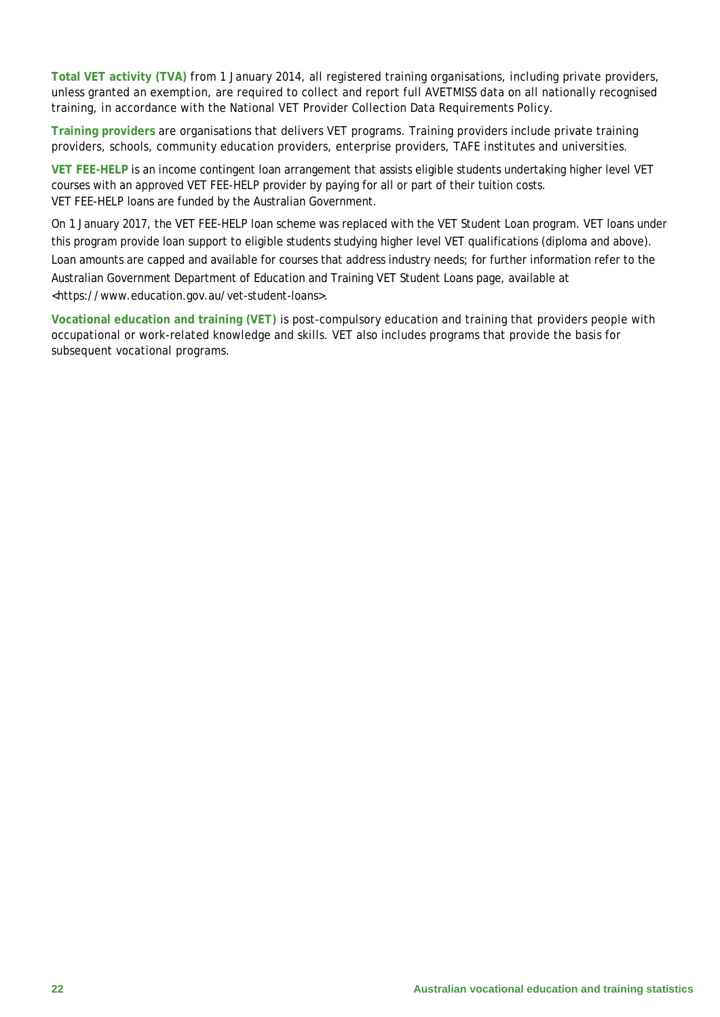**Total VET activity (TVA)** from 1 January 2014, all registered training organisations, including private providers, unless granted an exemption, are required to collect and report full AVETMISS data on all nationally recognised training, in accordance with the National VET Provider Collection Data Requirements Policy.

**Training providers** are organisations that delivers VET programs. Training providers include private training providers, schools, community education providers, enterprise providers, TAFE institutes and universities.

**VET FEE-HELP** is an income contingent loan arrangement that assists eligible students undertaking higher level VET courses with an approved VET FEE-HELP provider by paying for all or part of their tuition costs. VET FEE-HELP loans are funded by the Australian Government.

On 1 January 2017, the VET FEE-HELP loan scheme was replaced with the VET Student Loan program. VET loans under this program provide loan support to eligible students studying higher level VET qualifications (diploma and above). Loan amounts are capped and available for courses that address industry needs; for further information refer to the Australian Government Department of Education and Training VET Student Loans page, available at <https://www.education.gov.au/vet-student-loans>.

<span id="page-21-0"></span>**Vocational education and training (VET)** is post-compulsory education and training that providers people with occupational or work-related knowledge and skills. VET also includes programs that provide the basis for subsequent vocational programs.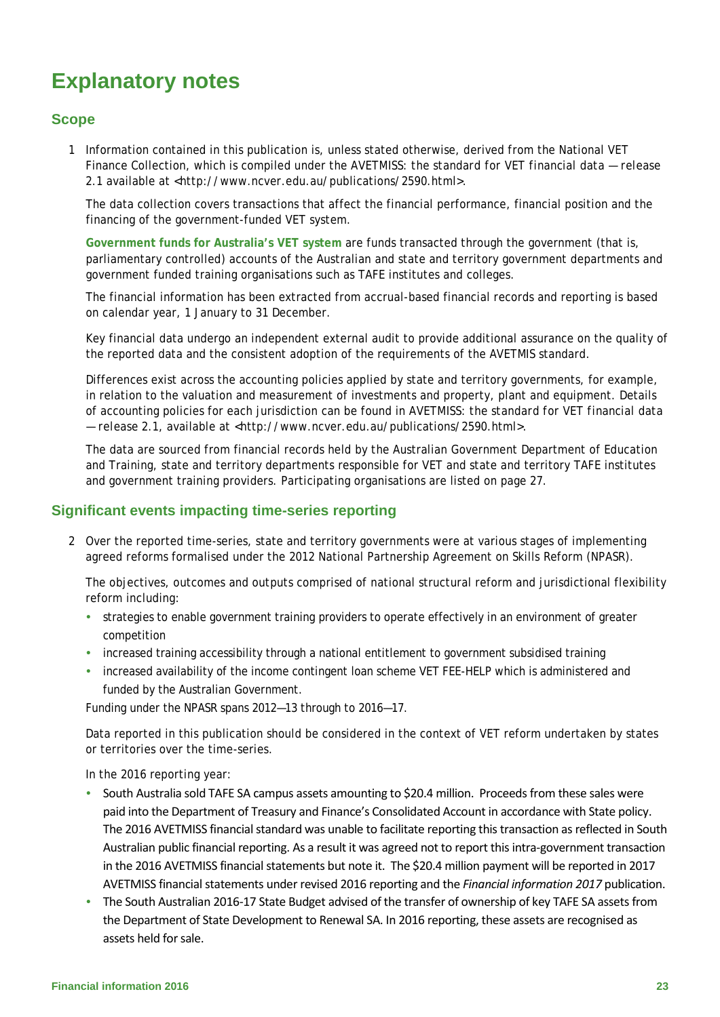# **Explanatory notes**

# **Scope**

1 Information contained in this publication is, unless stated otherwise, derived from the National VET Finance Collection, which is compiled under the *AVETMISS: the standard for VET financial data — release 2.1* available at <http://www.ncver.edu.au/publications/2590.html>.

The data collection covers transactions that affect the financial performance, financial position and the financing of the government-funded VET system.

**Government funds for Australia's VET system** are funds transacted through the government (that is, parliamentary controlled) accounts of the Australian and state and territory government departments and government funded training organisations such as TAFE institutes and colleges.

The financial information has been extracted from accrual-based financial records and reporting is based on calendar year, 1 January to 31 December.

Key financial data undergo an independent external audit to provide additional assurance on the quality of the reported data and the consistent adoption of the requirements of the AVETMIS standard.

Differences exist across the accounting policies applied by state and territory governments, for example, in relation to the valuation and measurement of investments and property, plant and equipment. Details of accounting policies for each jurisdiction can be found in *AVETMISS: the standard for VET financial data — release 2.1,* available at <http://www.ncver.edu.au/publications/2590.html>.

The data are sourced from financial records held by the Australian Government Department of Education and Training, state and territory departments responsible for VET and state and territory TAFE institutes and government training providers. Participating organisations are listed on page 27.

### **Significant events impacting time-series reporting**

2 Over the reported time-series, state and territory governments were at various stages of implementing agreed reforms formalised under the 2012 National Partnership Agreement on Skills Reform (NPASR).

The objectives, outcomes and outputs comprised of national structural reform and jurisdictional flexibility reform including:

- strategies to enable government training providers to operate effectively in an environment of greater competition
- increased training accessibility through a national entitlement to government subsidised training
- increased availability of the income contingent loan scheme VET FEE-HELP which is administered and funded by the Australian Government.

Funding under the NPASR spans 2012—13 through to 2016—17.

Data reported in this publication should be considered in the context of VET reform undertaken by states or territories over the time-series.

In the 2016 reporting year:

- South Australia sold TAFE SA campus assets amounting to \$20.4 million. Proceeds from these sales were paid into the Department of Treasury and Finance's Consolidated Account in accordance with State policy. The 2016 AVETMISS financial standard was unable to facilitate reporting this transaction as reflected in South Australian public financial reporting. As a result it was agreed not to report this intra-government transaction in the 2016 AVETMISS financial statements but note it. The \$20.4 million payment will be reported in 2017 AVETMISS financial statements under revised 2016 reporting and the *Financial information 2017* publication.
- The South Australian 2016-17 State Budget advised of the transfer of ownership of key TAFE SA assets from the Department of State Development to Renewal SA. In 2016 reporting, these assets are recognised as assets held for sale.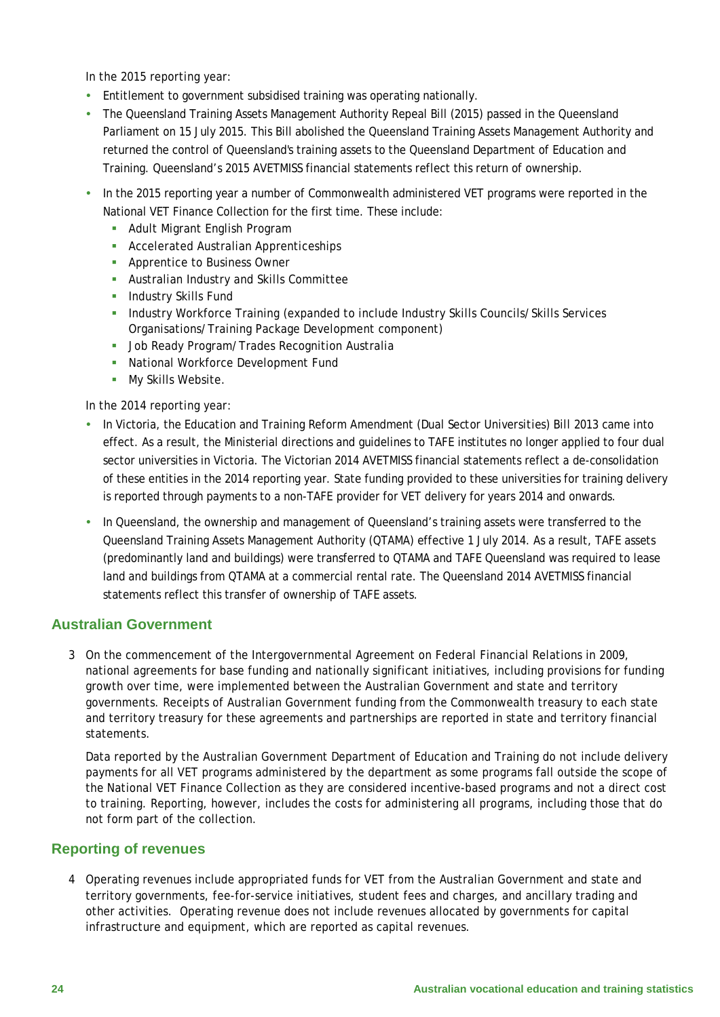In the 2015 reporting year:

- Entitlement to government subsidised training was operating nationally.
- The Queensland Training Assets Management Authority Repeal Bill (2015) passed in the Queensland Parliament on 15 July 2015. This Bill abolished the Queensland Training Assets Management Authority and returned the control of Queensland's training assets to the Queensland Department of Education and Training. Queensland's 2015 AVETMISS financial statements reflect this return of ownership.
- In the 2015 reporting year a number of Commonwealth administered VET programs were reported in the National VET Finance Collection for the first time. These include:
	- **-** Adult Migrant English Program
	- **Accelerated Australian Apprenticeships**
	- **Apprentice to Business Owner**
	- Australian Industry and Skills Committee
	- **Industry Skills Fund**
	- **Industry Workforce Training (expanded to include Industry Skills Councils/Skills Services** Organisations/Training Package Development component)
	- **Job Ready Program/Trades Recognition Australia**
	- **National Workforce Development Fund**
	- **My Skills Website.**

In the 2014 reporting year:

- In Victoria, the *Education and Training Reform Amendment (Dual Sector Universities) Bill 2013* came into effect. As a result, the Ministerial directions and guidelines to TAFE institutes no longer applied to four dual sector universities in Victoria. The Victorian 2014 AVETMISS financial statements reflect a de-consolidation of these entities in the 2014 reporting year. State funding provided to these universities for training delivery is reported through payments to a non-TAFE provider for VET delivery for years 2014 and onwards.
- In Queensland, the ownership and management of Queensland's training assets were transferred to the Queensland Training Assets Management Authority (QTAMA) effective 1 July 2014. As a result, TAFE assets (predominantly land and buildings) were transferred to QTAMA and TAFE Queensland was required to lease land and buildings from QTAMA at a commercial rental rate. The Queensland 2014 AVETMISS financial statements reflect this transfer of ownership of TAFE assets.

# **Australian Government**

3 On the commencement of the Intergovernmental Agreement on Federal Financial Relations in 2009, national agreements for base funding and nationally significant initiatives, including provisions for funding growth over time, were implemented between the Australian Government and state and territory governments. Receipts of Australian Government funding from the Commonwealth treasury to each state and territory treasury for these agreements and partnerships are reported in state and territory financial statements.

Data reported by the Australian Government Department of Education and Training do not include delivery payments for all VET programs administered by the department as some programs fall outside the scope of the National VET Finance Collection as they are considered incentive-based programs and not a direct cost to training. Reporting, however, includes the costs for administering all programs, including those that do not form part of the collection.

### **Reporting of revenues**

4 Operating revenues include appropriated funds for VET from the Australian Government and state and territory governments, fee-for-service initiatives, student fees and charges, and ancillary trading and other activities. Operating revenue does not include revenues allocated by governments for capital infrastructure and equipment, which are reported as capital revenues.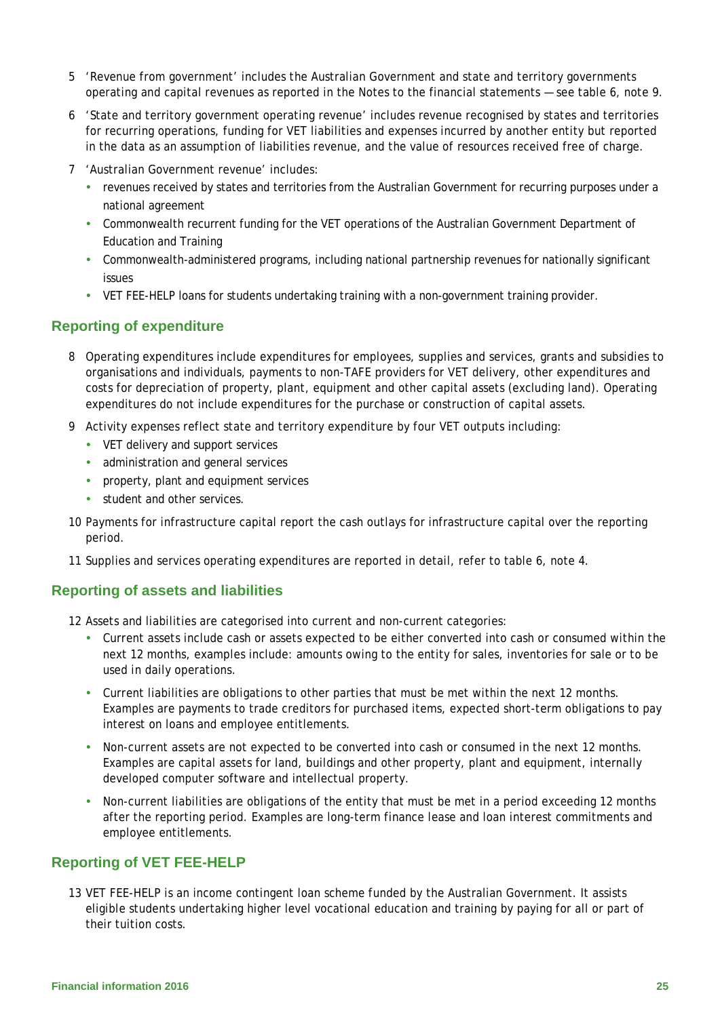- 5 'Revenue from government' includes the Australian Government and state and territory governments operating and capital revenues as reported in the Notes to the financial statements — see table 6, note 9.
- 6 'State and territory government operating revenue' includes revenue recognised by states and territories for recurring operations, funding for VET liabilities and expenses incurred by another entity but reported in the data as an assumption of liabilities revenue, and the value of resources received free of charge.
- 7 'Australian Government revenue' includes:
	- revenues received by states and territories from the Australian Government for recurring purposes under a national agreement
	- Commonwealth recurrent funding for the VET operations of the Australian Government Department of Education and Training
	- Commonwealth-administered programs, including national partnership revenues for nationally significant issues
	- VET FEE-HELP loans for students undertaking training with a non-government training provider.

### **Reporting of expenditure**

- 8 Operating expenditures include expenditures for employees, supplies and services, grants and subsidies to organisations and individuals, payments to non-TAFE providers for VET delivery, other expenditures and costs for depreciation of property, plant, equipment and other capital assets (excluding land). Operating expenditures do not include expenditures for the purchase or construction of capital assets.
- 9 Activity expenses reflect state and territory expenditure by four VET outputs including:
	- VET delivery and support services
	- administration and general services
	- property, plant and equipment services
	- student and other services.
- 10 Payments for infrastructure capital report the cash outlays for infrastructure capital over the reporting period.
- 11 Supplies and services operating expenditures are reported in detail, refer to table 6, note 4.

### **Reporting of assets and liabilities**

- 12 Assets and liabilities are categorised into current and non-current categories:
	- Current assets include cash or assets expected to be either converted into cash or consumed within the next 12 months, examples include: amounts owing to the entity for sales, inventories for sale or to be used in daily operations.
	- Current liabilities are obligations to other parties that must be met within the next 12 months. Examples are payments to trade creditors for purchased items, expected short-term obligations to pay interest on loans and employee entitlements.
	- Non-current assets are not expected to be converted into cash or consumed in the next 12 months. Examples are capital assets for land, buildings and other property, plant and equipment, internally developed computer software and intellectual property.
	- Non-current liabilities are obligations of the entity that must be met in a period exceeding 12 months after the reporting period. Examples are long-term finance lease and loan interest commitments and employee entitlements.

#### **Reporting of VET FEE-HELP**

13 VET FEE-HELP is an income contingent loan scheme funded by the Australian Government. It assists eligible students undertaking higher level vocational education and training by paying for all or part of their tuition costs.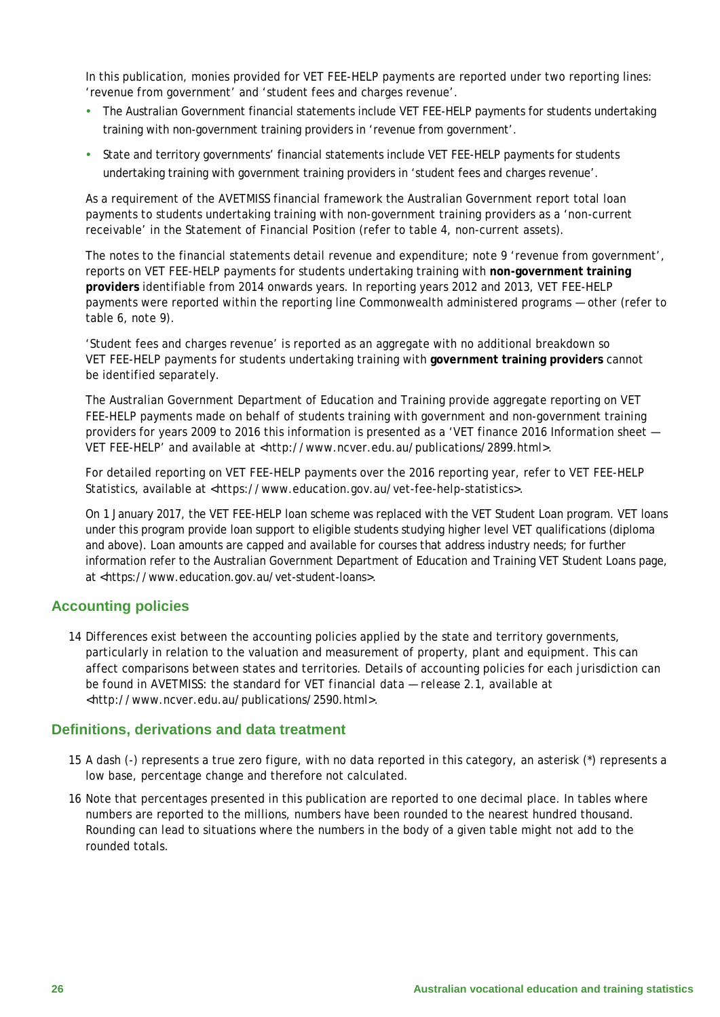In this publication, monies provided for VET FEE-HELP payments are reported under two reporting lines: 'revenue from government' and 'student fees and charges revenue'.

- The Australian Government financial statements include VET FEE-HELP payments for students undertaking training with non-government training providers in 'revenue from government'.
- State and territory governments' financial statements include VET FEE-HELP payments for students undertaking training with government training providers in 'student fees and charges revenue'.

As a requirement of the AVETMISS financial framework the Australian Government report total loan payments to students undertaking training with non-government training providers as a 'non-current receivable' in the Statement of Financial Position (refer to table 4, non-current assets).

The notes to the financial statements detail revenue and expenditure; note 9 'revenue from government', reports on VET FEE-HELP payments for students undertaking training with **non-government training providers** identifiable from 2014 onwards years. In reporting years 2012 and 2013, VET FEE-HELP payments were reported within the reporting line Commonwealth administered programs — other (refer to table 6, note 9).

'Student fees and charges revenue*'* is reported as an aggregate with no additional breakdown so VET FEE-HELP payments for students undertaking training with **government training providers** cannot be identified separately.

The Australian Government Department of Education and Training provide aggregate reporting on VET FEE-HELP payments made on behalf of students training with government and non-government training providers for years 2009 to 2016 this information is presented as a 'VET finance 2016 Information sheet — VET FEE-HELP' and available at <http://www.ncver.edu.au/publications/2899.html>.

For detailed reporting on VET FEE-HELP payments over the 2016 reporting year, refer to VET FEE-HELP Statistics, available at <https://www.education.gov.au/vet-fee-help-statistics>.

On 1 January 2017, the VET FEE-HELP loan scheme was replaced with the VET Student Loan program. VET loans under this program provide loan support to eligible students studying higher level VET qualifications (diploma and above). Loan amounts are capped and available for courses that address industry needs; for further information refer to the Australian Government Department of Education and Training VET Student Loans page, at <https://www.education.gov.au/vet-student-loans>.

# **Accounting policies**

14 Differences exist between the accounting policies applied by the state and territory governments, particularly in relation to the valuation and measurement of property, plant and equipment. This can affect comparisons between states and territories. Details of accounting policies for each jurisdiction can be found in *AVETMISS: the standard for VET financial data — release 2.1,* available at <http://www.ncver.edu.au/publications/2590.html>.

### **Definitions, derivations and data treatment**

- 15 A dash (-) represents a true zero figure, with no data reported in this category, an asterisk (\*) represents a low base, percentage change and therefore not calculated.
- 16 Note that percentages presented in this publication are reported to one decimal place. In tables where numbers are reported to the millions, numbers have been rounded to the nearest hundred thousand. Rounding can lead to situations where the numbers in the body of a given table might not add to the rounded totals.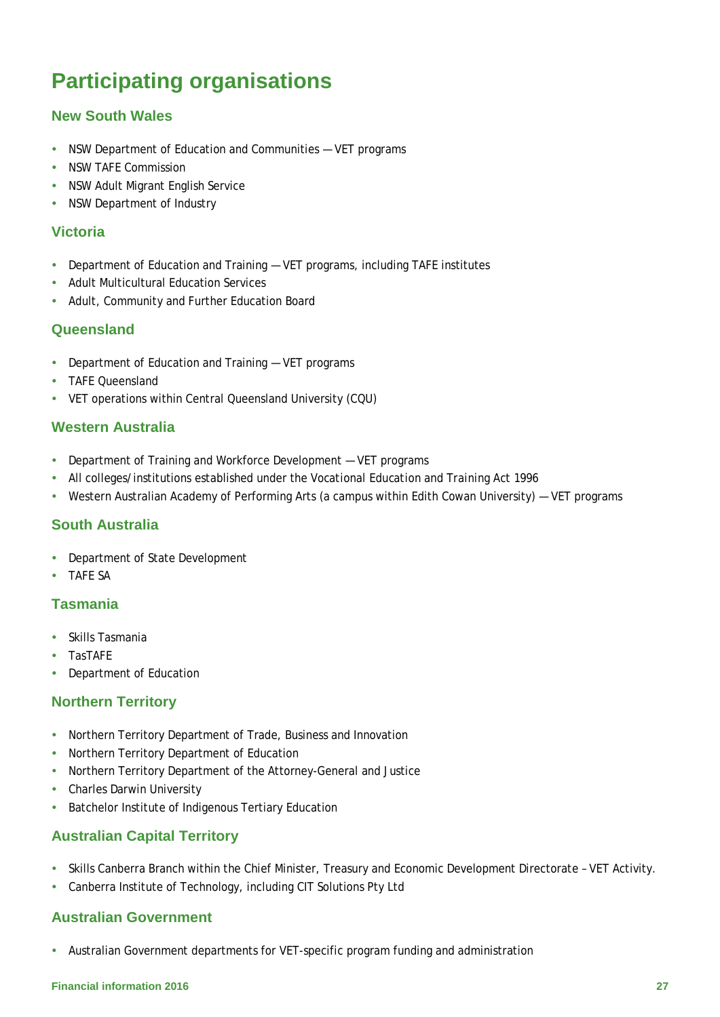# <span id="page-26-0"></span>**Participating organisations**

# **New South Wales**

- NSW Department of Education and Communities VET programs
- NSW TAFF Commission
- NSW Adult Migrant English Service
- NSW Department of Industry

# **Victoria**

- Department of Education and Training VET programs, including TAFE institutes
- Adult Multicultural Education Services
- Adult, Community and Further Education Board

# **Queensland**

- Department of Education and Training VET programs
- **TAFF Queensland**
- VET operations within Central Queensland University (CQU)

### **Western Australia**

- Department of Training and Workforce Development VET programs
- All colleges/institutions established under the *Vocational Education and Training Act 1996*
- Western Australian Academy of Performing Arts (a campus within Edith Cowan University) VET programs

# **South Australia**

- Department of State Development
- TAFE SA

# **Tasmania**

- Skills Tasmania
- TasTAFE
- Department of Education

# **Northern Territory**

- Northern Territory Department of Trade, Business and Innovation
- Northern Territory Department of Education
- Northern Territory Department of the Attorney-General and Justice
- Charles Darwin University
- **•** Batchelor Institute of Indigenous Tertiary Education

# **Australian Capital Territory**

- Skills Canberra Branch within the Chief Minister, Treasury and Economic Development Directorate VET Activity.
- Canberra Institute of Technology, including CIT Solutions Pty Ltd

# **Australian Government**

Australian Government departments for VET-specific program funding and administration

#### **Financial information 2016 27**